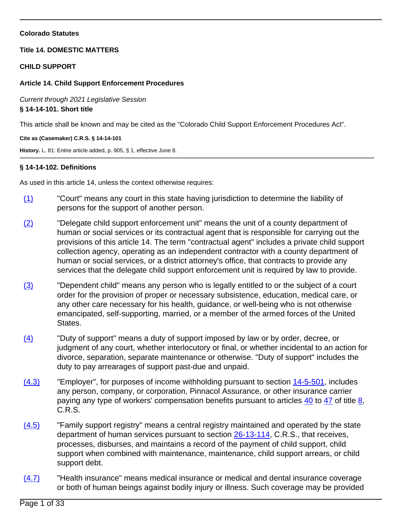## **Colorado Statutes**

## **Title 14. DOMESTIC MATTERS**

### **CHILD SUPPORT**

## **Article 14. Child Support Enforcement Procedures**

Current through 2021 Legislative Session **§ 14-14-101. Short title**

This article shall be known and may be cited as the "Colorado Child Support Enforcement Procedures Act".

### **Cite as (Casemaker) C.R.S. § 14-14-101**

**History.** L. 81: Entire article added, p. 905, § 1, effective June 8.

# **§ 14-14-102. Definitions**

As used in this article 14, unless the context otherwise requires:

- (1) "Court" means any court in this state having jurisdiction to determine the liability of persons for the support of another person.
- (2) "Delegate child support enforcement unit" means the unit of a county department of human or social services or its contractual agent that is responsible for carrying out the provisions of this article 14. The term "contractual agent" includes a private child support collection agency, operating as an independent contractor with a county department of human or social services, or a district attorney's office, that contracts to provide any services that the delegate child support enforcement unit is required by law to provide.
- (3) "Dependent child" means any person who is legally entitled to or the subject of a court order for the provision of proper or necessary subsistence, education, medical care, or any other care necessary for his health, guidance, or well-being who is not otherwise emancipated, self-supporting, married, or a member of the armed forces of the United States.
- $(4)$  "Duty of support" means a duty of support imposed by law or by order, decree, or judgment of any court, whether interlocutory or final, or whether incidental to an action for divorce, separation, separate maintenance or otherwise. "Duty of support" includes the duty to pay arrearages of support past-due and unpaid.
- $(4.3)$  "Employer", for purposes of income withholding pursuant to section  $14-5-501$ , includes any person, company, or corporation, Pinnacol Assurance, or other insurance carrier paying any type of workers' compensation benefits pursuant to articles [40](/NLLXML/getcode.asp?statecd=COampamp;codesec=article40ampamp;sessionyr=2021ampamp;Title=8ampamp;datatype=Sampamp;noheader=0ampamp;nojumpmsg=0) to [47](/NLLXML/getcode.asp?statecd=COampamp;codesec=article47ampamp;sessionyr=2021ampamp;Title=8ampamp;datatype=Sampamp;noheader=0ampamp;nojumpmsg=0) of title [8](/NLLXML/getcode.asp?statecd=COampamp;codesec=title8ampamp;sessionyr=2021ampamp;Title=8ampamp;datatype=Sampamp;noheader=0ampamp;nojumpmsg=0), C.R.S.
- (4.5) "Family support registry" means a central registry maintained and operated by the state department of human services pursuant to section [26-13-114](/NLLXML/getcode.asp?statecd=COampamp;codesec=26-13-114ampamp;sessionyr=2021ampamp;Title=26ampamp;datatype=Sampamp;noheader=0ampamp;nojumpmsg=0), C.R.S., that receives, processes, disburses, and maintains a record of the payment of child support, child support when combined with maintenance, maintenance, child support arrears, or child support debt.
- (4.7) "Health insurance" means medical insurance or medical and dental insurance coverage or both of human beings against bodily injury or illness. Such coverage may be provided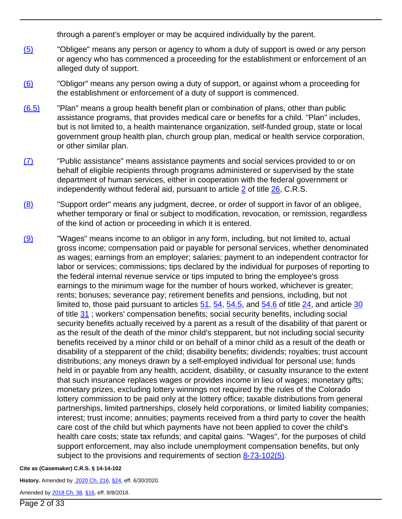through a parent's employer or may be acquired individually by the parent.

- (5) "Obligee" means any person or agency to whom a duty of support is owed or any person or agency who has commenced a proceeding for the establishment or enforcement of an alleged duty of support.
- (6) "Obligor" means any person owing a duty of support, or against whom a proceeding for the establishment or enforcement of a duty of support is commenced.
- (6.5) "Plan" means a group health benefit plan or combination of plans, other than public assistance programs, that provides medical care or benefits for a child. "Plan" includes, but is not limited to, a health maintenance organization, self-funded group, state or local government group health plan, church group plan, medical or health service corporation, or other similar plan.
- (7) "Public assistance" means assistance payments and social services provided to or on behalf of eligible recipients through programs administered or supervised by the state department of human services, either in cooperation with the federal government or independently without federal aid, pursuant to article [2](/NLLXML/getcode.asp?statecd=COampamp;codesec=article2ampamp;sessionyr=2021ampamp;Title=26ampamp;datatype=Sampamp;noheader=0ampamp;nojumpmsg=0) of title [26,](/NLLXML/getcode.asp?statecd=COampamp;codesec=title26ampamp;sessionyr=2021ampamp;Title=26ampamp;datatype=Sampamp;noheader=0ampamp;nojumpmsg=0) C.R.S.
- (8) "Support order" means any judgment, decree, or order of support in favor of an obligee, whether temporary or final or subject to modification, revocation, or remission, regardless of the kind of action or proceeding in which it is entered.
- (9) "Wages" means income to an obligor in any form, including, but not limited to, actual gross income; compensation paid or payable for personal services, whether denominated as wages; earnings from an employer; salaries; payment to an independent contractor for labor or services; commissions; tips declared by the individual for purposes of reporting to the federal internal revenue service or tips imputed to bring the employee's gross earnings to the minimum wage for the number of hours worked, whichever is greater; rents; bonuses; severance pay; retirement benefits and pensions, including, but not limited to, those paid pursuant to articles  $51, 54, 54.5$  $51, 54, 54.5$  $51, 54, 54.5$  $51, 54, 54.5$ , and  $54.6$  of title  $24$ , and article  $30$ of title [31](/NLLXML/getcode.asp?statecd=COampamp;codesec=title31ampamp;sessionyr=2021ampamp;Title=31ampamp;datatype=Sampamp;noheader=0ampamp;nojumpmsg=0) ; workers' compensation benefits; social security benefits, including social security benefits actually received by a parent as a result of the disability of that parent or as the result of the death of the minor child's stepparent, but not including social security benefits received by a minor child or on behalf of a minor child as a result of the death or disability of a stepparent of the child; disability benefits; dividends; royalties; trust account distributions; any moneys drawn by a self-employed individual for personal use; funds held in or payable from any health, accident, disability, or casualty insurance to the extent that such insurance replaces wages or provides income in lieu of wages; monetary gifts; monetary prizes, excluding lottery winnings not required by the rules of the Colorado lottery commission to be paid only at the lottery office; taxable distributions from general partnerships, limited partnerships, closely held corporations, or limited liability companies; interest; trust income; annuities; payments received from a third party to cover the health care cost of the child but which payments have not been applied to cover the child's health care costs; state tax refunds; and capital gains. "Wages", for the purposes of child support enforcement, may also include unemployment compensation benefits, but only subject to the provisions and requirements of section [8-73-102\(5\)](/NLLXML/getcode.asp?statecd=COampamp;codesec=8-73-102ampamp;sessionyr=2021ampamp;Title=8ampamp;datatype=Sampamp;noheader=0ampamp;nojumpmsg=0ampamp;nojumpmsg=0#8-73-102(5)).

### **Cite as (Casemaker) C.R.S. § 14-14-102**

**History.** Amended by [2020 Ch. 216,](/nllxml/getact.asp?statecd=COampamp;sessionyr=2020ampamp;actid=HB%201402ampamp;userid=REPLACE_LOGINIDampamp;noheader=0ampamp;nojumpmsg=0) [§24,](/nllxml/getact.asp?statecd=COampamp;sessionyr=2020ampamp;actid=HB%201402ampamp;userid=REPLACE_LOGINIDampamp;noheader=0ampamp;nojumpmsg=0#ActSec24) eff. 6/30/2020.

Amended by [2018 Ch. 38](/nllxml/getact.asp?statecd=COampamp;sessionyr=2018ampamp;actid=SB%2092ampamp;userid=REPLACE_LOGINIDampamp;noheader=0ampamp;nojumpmsg=0), [§16,](/nllxml/getact.asp?statecd=COampamp;sessionyr=2018ampamp;actid=SB%2092ampamp;userid=REPLACE_LOGINIDampamp;noheader=0ampamp;nojumpmsg=0#ActSec16) eff. 8/8/2018.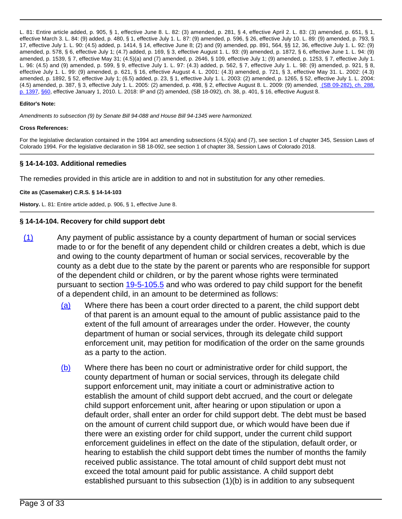L. 81: Entire article added, p. 905, § 1, effective June 8. L. 82: (3) amended, p. 281, § 4, effective April 2. L. 83: (3) amended, p. 651, § 1, effective March 3. L. 84: (9) added, p. 480, § 1, effective July 1. L. 87: (9) amended, p. 596, § 26, effective July 10. L. 89: (9) amended, p. 793, § 17, effective July 1. L. 90: (4.5) added, p. 1414, § 14, effective June 8; (2) and (9) amended, pp. 891, 564, §§ 12, 36, effective July 1. L. 92: (9) amended, p. 578, § 6, effective July 1; (4.7) added, p. 169, § 3, effective August 1. L. 93: (9) amended, p. 1872, § 6, effective June 1. L. 94: (9) amended, p. 1539, § 7, effective May 31; (4.5)(a) and (7) amended, p. 2646, § 109, effective July 1; (9) amended, p. 1253, § 7, effective July 1. L. 96: (4.5) and (9) amended, p. 599, § 9, effective July 1. L. 97: (4.3) added, p. 562, § 7, effective July 1. L. 98: (9) amended, p. 921, § 8, effective July 1. L. 99: (9) amended, p. 621, § 16, effective August 4. L. 2001: (4.3) amended, p. 721, § 3, effective May 31. L. 2002: (4.3) amended, p. 1892, § 52, effective July 1; (6.5) added, p. 23, § 1, effective July 1. L. 2003: (2) amended, p. 1265, § 52, effective July 1. L. 2004: (4.5) amended, p. 387, § 3, effective July 1. L. 2005: (2) amended, p. 498, § 2, effective August 8. L. 2009: (9) amended, [\(SB 09-282\), ch. 288,](/nllxml/getact.asp?statecd=COampamp;sessionyr=2009ampamp;actaltid=288ampamp;userid=REPLACE_LOGINIDampamp;noheader=0ampamp;nojumpmsg=0) [p. 1397](/nllxml/getact.asp?statecd=COampamp;sessionyr=2009ampamp;actaltid=288ampamp;userid=REPLACE_LOGINIDampamp;noheader=0ampamp;nojumpmsg=0), [§60,](/nllxml/getact.asp?statecd=COampamp;sessionyr=2009ampamp;actaltid=288ampamp;userid=REPLACE_LOGINIDampamp;noheader=0ampamp;nojumpmsg=0#ActSec60) effective January 1, 2010. L. 2018: IP and (2) amended, (SB 18-092), ch. 38, p. 401, § 16, effective August 8.

#### **Editor's Note:**

Amendments to subsection (9) by Senate Bill 94-088 and House Bill 94-1345 were harmonized.

#### **Cross References:**

For the legislative declaration contained in the 1994 act amending subsections (4.5)(a) and (7), see section 1 of chapter 345, Session Laws of Colorado 1994. For the legislative declaration in SB 18-092, see section 1 of chapter 38, Session Laws of Colorado 2018.

### **§ 14-14-103. Additional remedies**

The remedies provided in this article are in addition to and not in substitution for any other remedies.

### **Cite as (Casemaker) C.R.S. § 14-14-103**

**History.** L. 81: Entire article added, p. 906, § 1, effective June 8.

### **§ 14-14-104. Recovery for child support debt**

- (1) Any payment of public assistance by a county department of human or social services made to or for the benefit of any dependent child or children creates a debt, which is due and owing to the county department of human or social services, recoverable by the county as a debt due to the state by the parent or parents who are responsible for support of the dependent child or children, or by the parent whose rights were terminated pursuant to section [19-5-105.5](/NLLXML/getcode.asp?statecd=COampamp;codesec=19-5-105.5ampamp;sessionyr=2021ampamp;Title=19ampamp;datatype=Sampamp;noheader=0ampamp;nojumpmsg=0) and who was ordered to pay child support for the benefit of a dependent child, in an amount to be determined as follows:
	- (a) Where there has been a court order directed to a parent, the child support debt of that parent is an amount equal to the amount of public assistance paid to the extent of the full amount of arrearages under the order. However, the county department of human or social services, through its delegate child support enforcement unit, may petition for modification of the order on the same grounds as a party to the action.
	- (b) Where there has been no court or administrative order for child support, the county department of human or social services, through its delegate child support enforcement unit, may initiate a court or administrative action to establish the amount of child support debt accrued, and the court or delegate child support enforcement unit, after hearing or upon stipulation or upon a default order, shall enter an order for child support debt. The debt must be based on the amount of current child support due, or which would have been due if there were an existing order for child support, under the current child support enforcement guidelines in effect on the date of the stipulation, default order, or hearing to establish the child support debt times the number of months the family received public assistance. The total amount of child support debt must not exceed the total amount paid for public assistance. A child support debt established pursuant to this subsection (1)(b) is in addition to any subsequent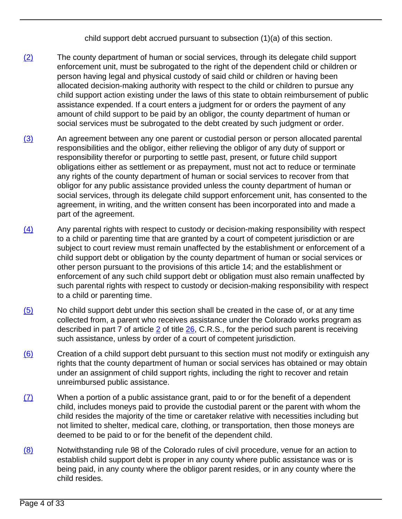child support debt accrued pursuant to subsection (1)(a) of this section.

- (2) The county department of human or social services, through its delegate child support enforcement unit, must be subrogated to the right of the dependent child or children or person having legal and physical custody of said child or children or having been allocated decision-making authority with respect to the child or children to pursue any child support action existing under the laws of this state to obtain reimbursement of public assistance expended. If a court enters a judgment for or orders the payment of any amount of child support to be paid by an obligor, the county department of human or social services must be subrogated to the debt created by such judgment or order.
- (3) An agreement between any one parent or custodial person or person allocated parental responsibilities and the obligor, either relieving the obligor of any duty of support or responsibility therefor or purporting to settle past, present, or future child support obligations either as settlement or as prepayment, must not act to reduce or terminate any rights of the county department of human or social services to recover from that obligor for any public assistance provided unless the county department of human or social services, through its delegate child support enforcement unit, has consented to the agreement, in writing, and the written consent has been incorporated into and made a part of the agreement.
- $(4)$  Any parental rights with respect to custody or decision-making responsibility with respect to a child or parenting time that are granted by a court of competent jurisdiction or are subject to court review must remain unaffected by the establishment or enforcement of a child support debt or obligation by the county department of human or social services or other person pursuant to the provisions of this article 14; and the establishment or enforcement of any such child support debt or obligation must also remain unaffected by such parental rights with respect to custody or decision-making responsibility with respect to a child or parenting time.
- (5) No child support debt under this section shall be created in the case of, or at any time collected from, a parent who receives assistance under the Colorado works program as described in part 7 of article [2](/NLLXML/getcode.asp?statecd=COampamp;codesec=article2ampamp;sessionyr=2021ampamp;Title=26ampamp;datatype=Sampamp;noheader=0ampamp;nojumpmsg=0) of title [26](/NLLXML/getcode.asp?statecd=COampamp;codesec=title26ampamp;sessionyr=2021ampamp;Title=26ampamp;datatype=Sampamp;noheader=0ampamp;nojumpmsg=0), C.R.S., for the period such parent is receiving such assistance, unless by order of a court of competent jurisdiction.
- (6) Creation of a child support debt pursuant to this section must not modify or extinguish any rights that the county department of human or social services has obtained or may obtain under an assignment of child support rights, including the right to recover and retain unreimbursed public assistance.
- (7) When a portion of a public assistance grant, paid to or for the benefit of a dependent child, includes moneys paid to provide the custodial parent or the parent with whom the child resides the majority of the time or caretaker relative with necessities including but not limited to shelter, medical care, clothing, or transportation, then those moneys are deemed to be paid to or for the benefit of the dependent child.
- (8) Notwithstanding rule 98 of the Colorado rules of civil procedure, venue for an action to establish child support debt is proper in any county where public assistance was or is being paid, in any county where the obligor parent resides, or in any county where the child resides.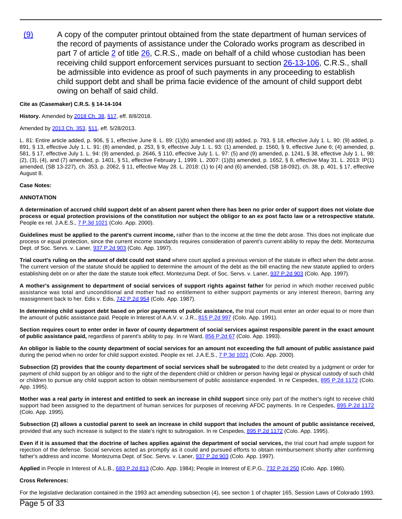(9) A copy of the computer printout obtained from the state department of human services of the record of payments of assistance under the Colorado works program as described in part 7 of article  $2$  of title  $26$ , C.R.S., made on behalf of a child whose custodian has been receiving child support enforcement services pursuant to section [26-13-106,](/NLLXML/getcode.asp?statecd=COampamp;codesec=26-13-106ampamp;sessionyr=2021ampamp;Title=26ampamp;datatype=Sampamp;noheader=0ampamp;nojumpmsg=0) C.R.S., shall be admissible into evidence as proof of such payments in any proceeding to establish child support debt and shall be prima facie evidence of the amount of child support debt owing on behalf of said child.

#### **Cite as (Casemaker) C.R.S. § 14-14-104**

**History.** Amended by [2018 Ch. 38,](/nllxml/getact.asp?statecd=COampamp;sessionyr=2018ampamp;actid=SB%2092ampamp;userid=REPLACE_LOGINIDampamp;noheader=0ampamp;nojumpmsg=0) [§17,](/nllxml/getact.asp?statecd=COampamp;sessionyr=2018ampamp;actid=SB%2092ampamp;userid=REPLACE_LOGINIDampamp;noheader=0ampamp;nojumpmsg=0#ActSec17) eff. 8/8/2018.

#### Amended by [2013 Ch. 353,](/nllxml/getact.asp?statecd=COampamp;sessionyr=2013ampamp;actid=SB%20227ampamp;userid=REPLACE_LOGINIDampamp;noheader=0ampamp;nojumpmsg=0) [§11,](/nllxml/getact.asp?statecd=COampamp;sessionyr=2013ampamp;actid=SB%20227ampamp;userid=REPLACE_LOGINIDampamp;noheader=0ampamp;nojumpmsg=0#ActSec11) eff. 5/28/2013.

L. 81: Entire article added, p. 906, § 1, effective June 8. L. 89: (1)(b) amended and (8) added, p. 793, § 18, effective July 1. L. 90: (9) added, p. 891, § 13, effective July 1. L. 91: (8) amended, p. 253, § 9, effective July 1. L. 93: (1) amended, p. 1560, § 9, effective June 6; (4) amended, p. 581, § 17, effective July 1. L. 94: (9) amended, p. 2646, § 110, effective July 1. L. 97: (5) and (9) amended, p. 1241, § 38, effective July 1. L. 98: (2), (3), (4), and (7) amended, p. 1401, § 51, effective February 1, 1999. L. 2007: (1)(b) amended, p. 1652, § 8, effective May 31. L. 2013: IP(1) amended, (SB 13-227), ch. 353, p. 2062, § 11, effective May 28. L. 2018: (1) to (4) and (6) amended, (SB 18-092), ch. 38, p. 401, § 17, effective August 8.

#### **Case Notes:**

#### **ANNOTATION**

**A determination of accrued child support debt of an absent parent when there has been no prior order of support does not violate due process or equal protection provisions of the constitution nor subject the obligor to an ex post facto law or a retrospective statute.** People ex rel. J.A.E.S., [7 P.3d 1021](/NLLXML/getcase.asp?citation=7%20P.3d%201021ampamp;casedate=2000-02-03ampamp;statecd=COampamp;bookname=Case_Lawampamp;noheader=0ampamp;nojumpmsg=0) (Colo. App. 2000).

**Guidelines must be applied to the parent's current income,** rather than to the income at the time the debt arose. This does not implicate due process or equal protection, since the current income standards requires consideration of parent's current ability to repay the debt. Montezuma Dept. of Soc. Servs. v. Laner, **[937 P.2d 903](/NLLXML/getcase.asp?citation=937%20P.2d%20903ampamp;casedate=1997-04-03ampamp;statecd=COampamp;bookname=Case_Lawampamp;noheader=0ampamp;nojumpmsg=0)** (Colo. App. 1997).

**Trial court's ruling on the amount of debt could not stand** where court applied a previous version of the statute in effect when the debt arose. The current version of the statute should be applied to determine the amount of the debt as the bill enacting the new statute applied to orders establishing debt on or after the date the statute took effect. Montezuma Dept. of Soc. Servs. v. Laner, [937 P.2d 903](/NLLXML/getcase.asp?citation=937%20P.2d%20903ampamp;casedate=1997-04-03ampamp;statecd=COampamp;bookname=Case_Lawampamp;noheader=0ampamp;nojumpmsg=0) (Colo. App. 1997).

**A mother's assignment to department of social services of support rights against father** for period in which mother received public assistance was total and unconditional and mother had no entitlement to either support payments or any interest thereon, barring any reassignment back to her. Edis v. Edis, [742 P.2d 954](/NLLXML/getcase.asp?citation=742%20P.2d%20954ampamp;casedate=1987-03-26ampamp;statecd=COampamp;bookname=Case_Lawampamp;noheader=0ampamp;nojumpmsg=0) (Colo. App. 1987).

**In determining child support debt based on prior payments of public assistance,** the trial court must enter an order equal to or more than the amount of public assistance paid. People in Interest of A.A.V. v. J.R., [815 P.2d 997](/NLLXML/getcase.asp?citation=815%20P.2d%20997ampamp;casedate=1991-07-05ampamp;statecd=COampamp;bookname=Case_Lawampamp;noheader=0ampamp;nojumpmsg=0) (Colo. App. 1991).

**Section requires court to enter order in favor of county department of social services against responsible parent in the exact amount** of public assistance paid, regardless of parent's ability to pay. In re Ward, [856 P.2d 67](/NLLXML/getcase.asp?citation=856%20P.2d%2067ampamp;casedate=1993-06-10ampamp;statecd=COampamp;bookname=Case_Lawampamp;noheader=0ampamp;nojumpmsg=0) (Colo. App. 1993).

**An obligor is liable to the county department of social services for an amount not exceeding the full amount of public assistance paid** during the period when no order for child support existed. People ex rel. J.A.E.S., [7 P.3d 1021](/NLLXML/getcase.asp?citation=7%20P.3d%201021ampamp;casedate=2000-02-03ampamp;statecd=COampamp;bookname=Case_Lawampamp;noheader=0ampamp;nojumpmsg=0) (Colo. App. 2000).

**Subsection (2) provides that the county department of social services shall be subrogated** to the debt created by a judgment or order for payment of child support by an obligor and to the right of the dependent child or children or person having legal or physical custody of such child or children to pursue any child support action to obtain reimbursement of public assistance expended. In re Cespedes, [895 P.2d 1172](/NLLXML/getcase.asp?citation=895%20P.2d%201172ampamp;casedate=1995-04-20ampamp;statecd=COampamp;bookname=Case_Lawampamp;noheader=0ampamp;nojumpmsg=0) (Colo. App. 1995).

Mother was a real party in interest and entitled to seek an increase in child support since only part of the mother's right to receive child support had been assigned to the department of human services for purposes of receiving AFDC payments. In re Cespedes, [895 P.2d 1172](/NLLXML/getcase.asp?citation=895%20P.2d%201172ampamp;casedate=1995-04-20ampamp;statecd=COampamp;bookname=Case_Lawampamp;noheader=0ampamp;nojumpmsg=0) (Colo. App. 1995).

**Subsection (2) allows a custodial parent to seek an increase in child support that includes the amount of public assistance received,** provided that any such increase is subject to the state's right to subrogation. In re Cespedes, [895 P.2d 1172](/NLLXML/getcase.asp?citation=895%20P.2d%201172ampamp;casedate=1995-04-20ampamp;statecd=COampamp;bookname=Case_Lawampamp;noheader=0ampamp;nojumpmsg=0) (Colo. App. 1995).

**Even if it is assumed that the doctrine of laches applies against the department of social services,** the trial court had ample support for rejection of the defense. Social services acted as promptly as it could and pursued efforts to obtain reimbursement shortly after confirming father's address and income. Montezuma Dept. of Soc. Servs. v. Laner, [937 P.2d 903](/NLLXML/getcase.asp?citation=937%20P.2d%20903ampamp;casedate=1997-04-03ampamp;statecd=COampamp;bookname=Case_Lawampamp;noheader=0ampamp;nojumpmsg=0) (Colo. App. 1997).

**Applied** in People in Interest of A.L.B., [683 P.2d 813](/NLLXML/getcase.asp?citation=683%20P.2d%20813ampamp;casedate=1984-03-29ampamp;statecd=COampamp;bookname=Case_Lawampamp;noheader=0ampamp;nojumpmsg=0) (Colo. App. 1984); People in Interest of E.P.G., [732 P.2d 250](/NLLXML/getcase.asp?citation=732%20P.2d%20250ampamp;casedate=1986-12-24ampamp;statecd=COampamp;bookname=Case_Lawampamp;noheader=0ampamp;nojumpmsg=0) (Colo. App. 1986).

#### **Cross References:**

For the legislative declaration contained in the 1993 act amending subsection (4), see section 1 of chapter 165, Session Laws of Colorado 1993.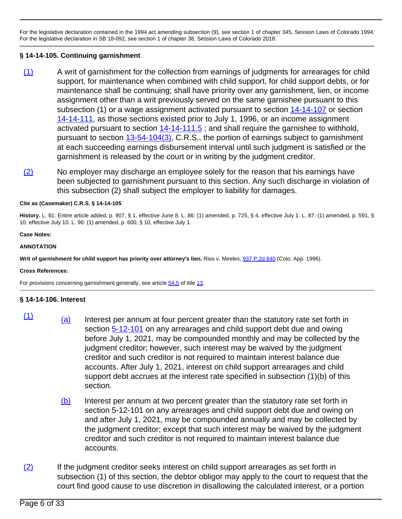For the legislative declaration contained in the 1994 act amending subsection (9), see section 1 of chapter 345, Session Laws of Colorado 1994. For the legislative declaration in SB 18-092, see section 1 of chapter 38, Session Laws of Colorado 2018.

# **§ 14-14-105. Continuing garnishment**

- (1) A writ of garnishment for the collection from earnings of judgments for arrearages for child support, for maintenance when combined with child support, for child support debts, or for maintenance shall be continuing; shall have priority over any garnishment, lien, or income assignment other than a writ previously served on the same garnishee pursuant to this subsection (1) or a wage assignment activated pursuant to section [14-14-107](/NLLXML/getcode.asp?statecd=COampamp;codesec=14-14-107ampamp;sessionyr=2021ampamp;Title=14ampamp;datatype=Sampamp;noheader=0ampamp;nojumpmsg=0) or section [14-14-111,](/NLLXML/getcode.asp?statecd=COampamp;codesec=14-14-111ampamp;sessionyr=2021ampamp;Title=14ampamp;datatype=Sampamp;noheader=0ampamp;nojumpmsg=0) as those sections existed prior to July 1, 1996, or an income assignment activated pursuant to section [14-14-111.5](/NLLXML/getcode.asp?statecd=COampamp;codesec=14-14-111.5ampamp;sessionyr=2021ampamp;Title=14ampamp;datatype=Sampamp;noheader=0ampamp;nojumpmsg=0); and shall require the garnishee to withhold, pursuant to section [13-54-104\(3\)](/NLLXML/getcode.asp?statecd=COampamp;codesec=13-54-104ampamp;sessionyr=2021ampamp;Title=13ampamp;datatype=Sampamp;noheader=0ampamp;nojumpmsg=0ampamp;nojumpmsg=0#13-54-104(3)), C.R.S., the portion of earnings subject to garnishment at each succeeding earnings disbursement interval until such judgment is satisfied or the garnishment is released by the court or in writing by the judgment creditor.
- $(2)$  No employer may discharge an employee solely for the reason that his earnings have been subjected to garnishment pursuant to this section. Any such discharge in violation of this subsection (2) shall subject the employer to liability for damages.

### **Cite as (Casemaker) C.R.S. § 14-14-105**

**History.** L. 81: Entire article added, p. 907, § 1, effective June 8. L. 86: (1) amended, p. 725, § 4, effective July 1. L. 87: (1) amended, p. 591, § 10, effective July 10. L. 96: (1) amended, p. 600, § 10, effective July 1.

**Case Notes:**

### **ANNOTATION**

**Writ of garnishment for child support has priority over attorney's lien.** Rios v. Mireles, [937 P.2d 840](/NLLXML/getcase.asp?citation=937%20P.2d%20840ampamp;casedate=1996-08-22ampamp;statecd=COampamp;bookname=Case_Lawampamp;noheader=0ampamp;nojumpmsg=0) (Colo. App. 1996).

### **Cross References:**

For provisions concerning garnishment generally, see article [54.5](/NLLXML/getcode.asp?statecd=COampamp;codesec=article54.5ampamp;sessionyr=2021ampamp;Title=13ampamp;datatype=Sampamp;noheader=0ampamp;nojumpmsg=0) of title [13](/NLLXML/getcode.asp?statecd=COampamp;codesec=title13ampamp;sessionyr=2021ampamp;Title=13ampamp;datatype=Sampamp;noheader=0ampamp;nojumpmsg=0).

# **§ 14-14-106. Interest**

- $\frac{(1)}{(a)}$  Interest per annum at four percent greater than the statutory rate set forth in section [5-12-101](/NLLXML/getcode.asp?statecd=COampamp;codesec=5-12-101ampamp;sessionyr=2021ampamp;Title=5ampamp;datatype=Sampamp;noheader=0ampamp;nojumpmsg=0) on any arrearages and child support debt due and owing before July 1, 2021, may be compounded monthly and may be collected by the judgment creditor; however, such interest may be waived by the judgment creditor and such creditor is not required to maintain interest balance due accounts. After July 1, 2021, interest on child support arrearages and child support debt accrues at the interest rate specified in subsection (1)(b) of this section.
	- (b) Interest per annum at two percent greater than the statutory rate set forth in section 5-12-101 on any arrearages and child support debt due and owing on and after July 1, 2021, may be compounded annually and may be collected by the judgment creditor; except that such interest may be waived by the judgment creditor and such creditor is not required to maintain interest balance due accounts.
- $(2)$  If the judgment creditor seeks interest on child support arrearages as set forth in subsection (1) of this section, the debtor obligor may apply to the court to request that the court find good cause to use discretion in disallowing the calculated interest, or a portion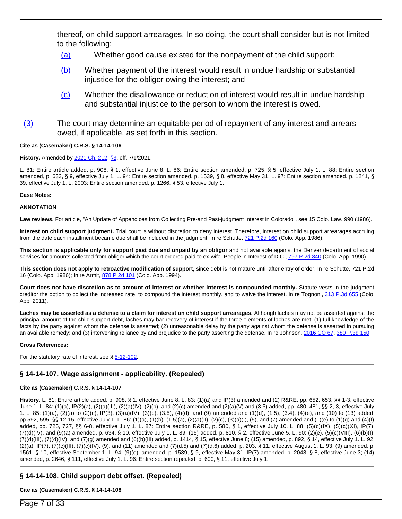thereof, on child support arrearages. In so doing, the court shall consider but is not limited to the following:

- (a) Whether good cause existed for the nonpayment of the child support;
- (b) Whether payment of the interest would result in undue hardship or substantial injustice for the obligor owing the interest; and
- (c) Whether the disallowance or reduction of interest would result in undue hardship and substantial injustice to the person to whom the interest is owed.
- (3) The court may determine an equitable period of repayment of any interest and arrears owed, if applicable, as set forth in this section.

### **Cite as (Casemaker) C.R.S. § 14-14-106**

#### **History.** Amended by [2021 Ch. 212,](/nllxml/getact.asp?statecd=COampamp;sessionyr=2021ampamp;actid=HB%201220ampamp;userid=REPLACE_LOGINIDampamp;noheader=0ampamp;nojumpmsg=0) [§3,](/nllxml/getact.asp?statecd=COampamp;sessionyr=2021ampamp;actid=HB%201220ampamp;userid=REPLACE_LOGINIDampamp;noheader=0ampamp;nojumpmsg=0#ActSec3) eff. 7/1/2021.

L. 81: Entire article added, p. 908, § 1, effective June 8. L. 86: Entire section amended, p. 725, § 5, effective July 1. L. 88: Entire section amended, p. 633, § 9, effective July 1. L. 94: Entire section amended, p. 1539, § 8, effective May 31. L. 97: Entire section amended, p. 1241, § 39, effective July 1. L. 2003: Entire section amended, p. 1266, § 53, effective July 1.

#### **Case Notes:**

#### **ANNOTATION**

Law reviews. For article, "An Update of Appendices from Collecting Pre-and Past-judgment Interest in Colorado", see 15 Colo. Law. 990 (1986).

**Interest on child support judgment.** Trial court is without discretion to deny interest. Therefore, interest on child support arrearages accruing from the date each installment became due shall be included in the judgment. In re Schutte, [721 P.2d 160](/NLLXML/getcase.asp?citation=721%20P.2d%20160ampamp;casedate=1986-05-22ampamp;statecd=COampamp;bookname=Case_Lawampamp;noheader=0ampamp;nojumpmsg=0) (Colo. App. 1986).

**This section is applicable only for support past due and unpaid by an obligor** and not available against the Denver department of social services for amounts collected from obligor which the court ordered paid to ex-wife. People in Interest of D.C., [797 P.2d 840](/NLLXML/getcase.asp?citation=797%20P.2d%20840ampamp;casedate=1990-08-09ampamp;statecd=COampamp;bookname=Case_Lawampamp;noheader=0ampamp;nojumpmsg=0) (Colo. App. 1990).

**This section does not apply to retroactive modification of support,** since debt is not mature until after entry of order. In re Schutte, 721 P.2d 16 (Colo. App. 1986); In re Armit, [878 P.2d 101](/NLLXML/getcase.asp?citation=878%20P.2d%20101ampamp;casedate=1994-06-02ampamp;statecd=COampamp;bookname=Case_Lawampamp;noheader=0ampamp;nojumpmsg=0) (Colo. App. 1994).

**Court does not have discretion as to amount of interest or whether interest is compounded monthly.** Statute vests in the judgment creditor the option to collect the increased rate, to compound the interest monthly, and to waive the interest. In re Tognoni, [313 P.3d 655](/NLLXML/getcase.asp?citation=313%20P.3d%20655ampamp;casedate=2011-11-10ampamp;statecd=COampamp;bookname=Case_Lawampamp;noheader=0ampamp;nojumpmsg=0) (Colo. App. 2011).

**Laches may be asserted as a defense to a claim for interest on child support arrearages.** Although laches may not be asserted against the principal amount of the child support debt, laches may bar recovery of interest if the three elements of laches are met: (1) full knowledge of the facts by the party against whom the defense is asserted; (2) unreasonable delay by the party against whom the defense is asserted in pursuing an available remedy; and (3) intervening reliance by and prejudice to the party asserting the defense. In re Johnson, [2016 CO 67](/NLLXML/getcase.asp?citation=2016%20CO%2067ampamp;casedate=2016-09-26ampamp;statecd=COampamp;bookname=Case_Lawampamp;noheader=0ampamp;nojumpmsg=0), [380 P.3d 150.](/NLLXML/getcase.asp?citation=380%20P.3d%20150ampamp;casedate=2016-09-26ampamp;statecd=COampamp;bookname=Case_Lawampamp;noheader=0ampamp;nojumpmsg=0)

#### **Cross References:**

For the statutory rate of interest, see § [5-12-102](/NLLXML/getcode.asp?statecd=COampamp;codesec=5-12-102ampamp;sessionyr=2021ampamp;Title=5ampamp;datatype=Sampamp;noheader=0ampamp;nojumpmsg=0).

### **§ 14-14-107. Wage assignment - applicability. (Repealed)**

#### **Cite as (Casemaker) C.R.S. § 14-14-107**

**History.** L. 81: Entire article added, p. 908, § 1, effective June 8. L. 83: (1)(a) and IP(3) amended and (2) R&RE, pp. 652, 653, §§ 1-3, effective June 1. L. 84: (1)(a), IP(2)(a), (2)(a)(III), (2)(a)(IV), (2)(b), and (2)(c) amended and (2)(a)(V) and (3.5) added, pp. 480, 481, §§ 2, 3, effective July 1. L. 85: (1)(a), (2)(a) to (2)(c), IP(3), (3)(a)(IV), (3)(c), (3.5), (4)(d), and (9) amended and (1)(d), (1.5), (3.4), (4)(e), and (10) to (13) added, pp.592, 595, §§ 12-15, effective July 1. L. 86: (1)(a), (1)(b), (1.5)(a), (2)(a)(II), (2)(c), (3)(a)(I), (5), and (7) amended and (1)(e) to (1)(g) and (4)(f) added, pp. 725, 727, §§ 6-8, effective July 1. L. 87: Entire section R&RE, p. 580, § 1, effective July 10. L. 88: (5)(c)(IX), (5)(c)(XI), IP(7), (7)(d)(IV), and (9)(a) amended, p. 634, § 10, effective July 1. L. 89: (15) added, p. 810, § 2, effective June 5. L. 90: (2)(e), (5)(c)(VIII), (6)(b)(I),  $(7)(d)(III)$ ,  $(7)(d)(IV)$ , and  $(7)(g)$  amended and  $(6)(b)(III)$  added, p. 1414, § 15, effective June 8; (15) amended, p. 892, § 14, effective July 1. L. 92:  $(2)(a)$ , IP(7),  $(7)(c)(III)$ ,  $(7)(c)(IV)$ ,  $(9)$ , and  $(11)$  amended and  $(7)(d.5)$  and  $(7)(d.6)$  added, p. 203, § 11, effective August 1. L. 93: (9) amended, p. 1561, § 10, effective September 1. L. 94: (9)(e), amended, p. 1539, § 9, effective May 31; IP(7) amended, p. 2048, § 8, effective June 3; (14) amended, p. 2646, § 111, effective July 1. L. 96: Entire section repealed, p. 600, § 11, effective July 1.

# **§ 14-14-108. Child support debt offset. (Repealed)**

### **Cite as (Casemaker) C.R.S. § 14-14-108**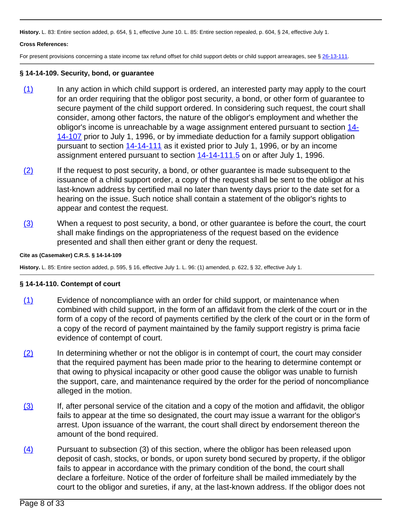**History.** L. 83: Entire section added, p. 654, § 1, effective June 10. L. 85: Entire section repealed, p. 604, § 24, effective July 1.

### **Cross References:**

For present provisions concerning a state income tax refund offset for child support debts or child support arrearages, see § [26-13-111.](/NLLXML/getcode.asp?statecd=COampamp;codesec=26-13-111ampamp;sessionyr=2021ampamp;Title=26ampamp;datatype=Sampamp;noheader=0ampamp;nojumpmsg=0)

### **§ 14-14-109. Security, bond, or guarantee**

- (1) In any action in which child support is ordered, an interested party may apply to the court for an order requiring that the obligor post security, a bond, or other form of guarantee to secure payment of the child support ordered. In considering such request, the court shall consider, among other factors, the nature of the obligor's employment and whether the obligor's income is unreachable by a wage assignment entered pursuant to section [14-](/NLLXML/getcode.asp?statecd=COampamp;codesec=14-14-107ampamp;sessionyr=2021ampamp;Title=14ampamp;datatype=Sampamp;noheader=0ampamp;nojumpmsg=0) [14-107](/NLLXML/getcode.asp?statecd=COampamp;codesec=14-14-107ampamp;sessionyr=2021ampamp;Title=14ampamp;datatype=Sampamp;noheader=0ampamp;nojumpmsg=0) prior to July 1, 1996, or by immediate deduction for a family support obligation pursuant to section [14-14-111](/NLLXML/getcode.asp?statecd=COampamp;codesec=14-14-111ampamp;sessionyr=2021ampamp;Title=14ampamp;datatype=Sampamp;noheader=0ampamp;nojumpmsg=0) as it existed prior to July 1, 1996, or by an income assignment entered pursuant to section [14-14-111.5](/NLLXML/getcode.asp?statecd=COampamp;codesec=14-14-111.5ampamp;sessionyr=2021ampamp;Title=14ampamp;datatype=Sampamp;noheader=0ampamp;nojumpmsg=0) on or after July 1, 1996.
- (2) If the request to post security, a bond, or other guarantee is made subsequent to the issuance of a child support order, a copy of the request shall be sent to the obligor at his last-known address by certified mail no later than twenty days prior to the date set for a hearing on the issue. Such notice shall contain a statement of the obligor's rights to appear and contest the request.
- $(3)$  When a request to post security, a bond, or other guarantee is before the court, the court shall make findings on the appropriateness of the request based on the evidence presented and shall then either grant or deny the request.

### **Cite as (Casemaker) C.R.S. § 14-14-109**

**History.** L. 85: Entire section added, p. 595, § 16, effective July 1. L. 96: (1) amended, p. 622, § 32, effective July 1.

### **§ 14-14-110. Contempt of court**

- (1) Evidence of noncompliance with an order for child support, or maintenance when combined with child support, in the form of an affidavit from the clerk of the court or in the form of a copy of the record of payments certified by the clerk of the court or in the form of a copy of the record of payment maintained by the family support registry is prima facie evidence of contempt of court.
- $(2)$  In determining whether or not the obligor is in contempt of court, the court may consider that the required payment has been made prior to the hearing to determine contempt or that owing to physical incapacity or other good cause the obligor was unable to furnish the support, care, and maintenance required by the order for the period of noncompliance alleged in the motion.
- (3) If, after personal service of the citation and a copy of the motion and affidavit, the obligor fails to appear at the time so designated, the court may issue a warrant for the obligor's arrest. Upon issuance of the warrant, the court shall direct by endorsement thereon the amount of the bond required.
- $\overline{(4)}$  Pursuant to subsection (3) of this section, where the obligor has been released upon deposit of cash, stocks, or bonds, or upon surety bond secured by property, if the obligor fails to appear in accordance with the primary condition of the bond, the court shall declare a forfeiture. Notice of the order of forfeiture shall be mailed immediately by the court to the obligor and sureties, if any, at the last-known address. If the obligor does not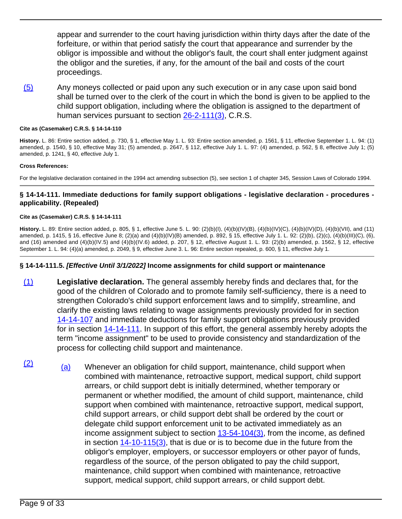appear and surrender to the court having jurisdiction within thirty days after the date of the forfeiture, or within that period satisfy the court that appearance and surrender by the obligor is impossible and without the obligor's fault, the court shall enter judgment against the obligor and the sureties, if any, for the amount of the bail and costs of the court proceedings.

(5) Any moneys collected or paid upon any such execution or in any case upon said bond shall be turned over to the clerk of the court in which the bond is given to be applied to the child support obligation, including where the obligation is assigned to the department of human services pursuant to section [26-2-111\(3\),](/NLLXML/getcode.asp?statecd=COampamp;codesec=26-2-111ampamp;sessionyr=2021ampamp;Title=26ampamp;datatype=Sampamp;noheader=0ampamp;nojumpmsg=0ampamp;nojumpmsg=0#26-2-111(3)) C.R.S.

### **Cite as (Casemaker) C.R.S. § 14-14-110**

**History.** L. 86: Entire section added, p. 730, § 1, effective May 1. L. 93: Entire section amended, p. 1561, § 11, effective September 1. L. 94: (1) amended, p. 1540, § 10, effective May 31; (5) amended, p. 2647, § 112, effective July 1. L. 97: (4) amended, p. 562, § 8, effective July 1; (5) amended, p. 1241, § 40, effective July 1.

### **Cross References:**

For the legislative declaration contained in the 1994 act amending subsection (5), see section 1 of chapter 345, Session Laws of Colorado 1994.

## **§ 14-14-111. Immediate deductions for family support obligations - legislative declaration - procedures applicability. (Repealed)**

### **Cite as (Casemaker) C.R.S. § 14-14-111**

**History.** L. 89: Entire section added, p. 805, § 1, effective June 5. L. 90: (2)(b)(I), (4)(b)(IV)(B), (4)(b)(IV)(C), (4)(b)(IV)(D), (4)(b)(VII), and (11) amended, p. 1415, § 16, effective June 8; (2)(a) and (4)(b)(IV)(B) amended, p. 892, § 15, effective July 1. L. 92: (2)(b), (2)(c), (4)(b)(III)(C), (6), and (16) amended and (4)(b)(IV.5) and (4)(b)(IV.6) added, p. 207, § 12, effective August 1. L. 93: (2)(b) amended, p. 1562, § 12, effective September 1. L. 94: (4)(a) amended, p. 2049, § 9, effective June 3. L. 96: Entire section repealed, p. 600, § 11, effective July 1.

### **§ 14-14-111.5. [Effective Until 3/1/2022] Income assignments for child support or maintenance**

- (1) **Legislative declaration.** The general assembly hereby finds and declares that, for the good of the children of Colorado and to promote family self-sufficiency, there is a need to strengthen Colorado's child support enforcement laws and to simplify, streamline, and clarify the existing laws relating to wage assignments previously provided for in section [14-14-107](/NLLXML/getcode.asp?statecd=COampamp;codesec=14-14-107ampamp;sessionyr=2021ampamp;Title=14ampamp;datatype=Sampamp;noheader=0ampamp;nojumpmsg=0) and immediate deductions for family support obligations previously provided for in section [14-14-111](/NLLXML/getcode.asp?statecd=COampamp;codesec=14-14-111ampamp;sessionyr=2021ampamp;Title=14ampamp;datatype=Sampamp;noheader=0ampamp;nojumpmsg=0). In support of this effort, the general assembly hereby adopts the term "income assignment" to be used to provide consistency and standardization of the process for collecting child support and maintenance.
- $\frac{12}{2}$  (a) Whenever an obligation for child support, maintenance, child support when combined with maintenance, retroactive support, medical support, child support arrears, or child support debt is initially determined, whether temporary or permanent or whether modified, the amount of child support, maintenance, child support when combined with maintenance, retroactive support, medical support, child support arrears, or child support debt shall be ordered by the court or delegate child support enforcement unit to be activated immediately as an income assignment subject to section [13-54-104\(3\)](/NLLXML/getcode.asp?statecd=COampamp;codesec=13-54-104ampamp;sessionyr=2021ampamp;Title=13ampamp;datatype=Sampamp;noheader=0ampamp;nojumpmsg=0ampamp;nojumpmsg=0#13-54-104(3)), from the income, as defined in section  $14-10-115(3)$ , that is due or is to become due in the future from the obligor's employer, employers, or successor employers or other payor of funds, regardless of the source, of the person obligated to pay the child support, maintenance, child support when combined with maintenance, retroactive support, medical support, child support arrears, or child support debt.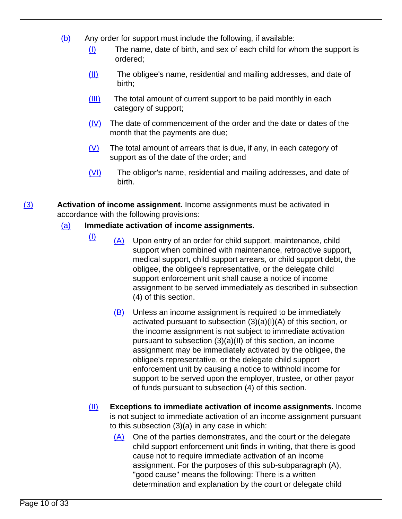- (b) Any order for support must include the following, if available:
	- (I) The name, date of birth, and sex of each child for whom the support is ordered;
	- (II) The obligee's name, residential and mailing addresses, and date of birth;
	- (III) The total amount of current support to be paid monthly in each category of support;
	- (IV) The date of commencement of the order and the date or dates of the month that the payments are due;
	- $(V)$  The total amount of arrears that is due, if any, in each category of support as of the date of the order; and
	- (VI) The obligor's name, residential and mailing addresses, and date of birth.

(3) **Activation of income assignment.** Income assignments must be activated in accordance with the following provisions:

# (a) **Immediate activation of income assignments.**

- $\frac{1}{1}$  (A) Upon entry of an order for child support, maintenance, child support when combined with maintenance, retroactive support, medical support, child support arrears, or child support debt, the obligee, the obligee's representative, or the delegate child support enforcement unit shall cause a notice of income assignment to be served immediately as described in subsection (4) of this section.
	- (B) Unless an income assignment is required to be immediately activated pursuant to subsection (3)(a)(I)(A) of this section, or the income assignment is not subject to immediate activation pursuant to subsection (3)(a)(II) of this section, an income assignment may be immediately activated by the obligee, the obligee's representative, or the delegate child support enforcement unit by causing a notice to withhold income for support to be served upon the employer, trustee, or other payor of funds pursuant to subsection (4) of this section.
- (II) **Exceptions to immediate activation of income assignments.** Income is not subject to immediate activation of an income assignment pursuant to this subsection (3)(a) in any case in which:
	- (A) One of the parties demonstrates, and the court or the delegate child support enforcement unit finds in writing, that there is good cause not to require immediate activation of an income assignment. For the purposes of this sub-subparagraph (A), "good cause" means the following: There is a written determination and explanation by the court or delegate child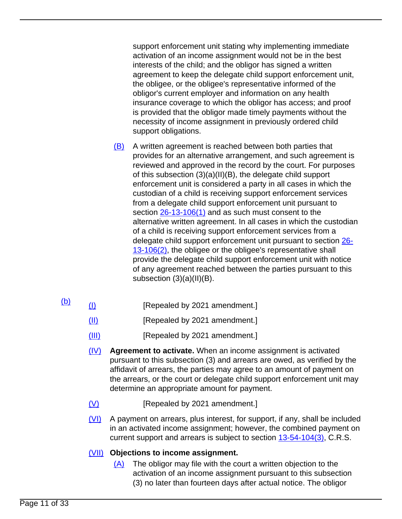support enforcement unit stating why implementing immediate activation of an income assignment would not be in the best interests of the child; and the obligor has signed a written agreement to keep the delegate child support enforcement unit, the obligee, or the obligee's representative informed of the obligor's current employer and information on any health insurance coverage to which the obligor has access; and proof is provided that the obligor made timely payments without the necessity of income assignment in previously ordered child support obligations.

- (B) A written agreement is reached between both parties that provides for an alternative arrangement, and such agreement is reviewed and approved in the record by the court. For purposes of this subsection (3)(a)(II)(B), the delegate child support enforcement unit is considered a party in all cases in which the custodian of a child is receiving support enforcement services from a delegate child support enforcement unit pursuant to section [26-13-106\(1\)](/NLLXML/getcode.asp?statecd=COampamp;codesec=26-13-106ampamp;sessionyr=2021ampamp;Title=26ampamp;datatype=Sampamp;noheader=0ampamp;nojumpmsg=0ampamp;nojumpmsg=0#26-13-106(1)) and as such must consent to the alternative written agreement. In all cases in which the custodian of a child is receiving support enforcement services from a delegate child support enforcement unit pursuant to section [26-](/NLLXML/getcode.asp?statecd=COampamp;codesec=26-13-106ampamp;sessionyr=2021ampamp;Title=26ampamp;datatype=Sampamp;noheader=0ampamp;nojumpmsg=0ampamp;nojumpmsg=0#26-13-106(2)) [13-106\(2\)](/NLLXML/getcode.asp?statecd=COampamp;codesec=26-13-106ampamp;sessionyr=2021ampamp;Title=26ampamp;datatype=Sampamp;noheader=0ampamp;nojumpmsg=0ampamp;nojumpmsg=0#26-13-106(2)), the obligee or the obligee's representative shall provide the delegate child support enforcement unit with notice of any agreement reached between the parties pursuant to this subsection (3)(a)(II)(B).
- $\underline{b}$  (I) [Repealed by 2021 amendment.]
	- (II) [Repealed by 2021 amendment.]
	- (III) [Repealed by 2021 amendment.]
	- (IV) **Agreement to activate.** When an income assignment is activated pursuant to this subsection (3) and arrears are owed, as verified by the affidavit of arrears, the parties may agree to an amount of payment on the arrears, or the court or delegate child support enforcement unit may determine an appropriate amount for payment.
	- (V) [Repealed by 2021 amendment.]
	- (VI) A payment on arrears, plus interest, for support, if any, shall be included in an activated income assignment; however, the combined payment on current support and arrears is subject to section [13-54-104\(3\),](/NLLXML/getcode.asp?statecd=COampamp;codesec=13-54-104ampamp;sessionyr=2021ampamp;Title=13ampamp;datatype=Sampamp;noheader=0ampamp;nojumpmsg=0ampamp;nojumpmsg=0#13-54-104(3)) C.R.S.

# (VII) **Objections to income assignment.**

(A) The obligor may file with the court a written objection to the activation of an income assignment pursuant to this subsection (3) no later than fourteen days after actual notice. The obligor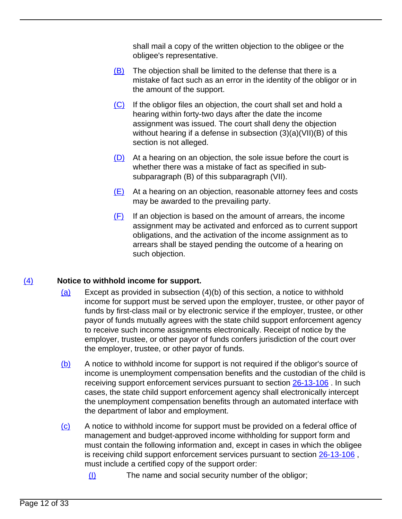shall mail a copy of the written objection to the obligee or the obligee's representative.

- $(B)$  The objection shall be limited to the defense that there is a mistake of fact such as an error in the identity of the obligor or in the amount of the support.
- (C) If the obligor files an objection, the court shall set and hold a hearing within forty-two days after the date the income assignment was issued. The court shall deny the objection without hearing if a defense in subsection (3)(a)(VII)(B) of this section is not alleged.
- $(D)$  At a hearing on an objection, the sole issue before the court is whether there was a mistake of fact as specified in subsubparagraph (B) of this subparagraph (VII).
- $(E)$  At a hearing on an objection, reasonable attorney fees and costs may be awarded to the prevailing party.
- $(F)$  If an objection is based on the amount of arrears, the income assignment may be activated and enforced as to current support obligations, and the activation of the income assignment as to arrears shall be stayed pending the outcome of a hearing on such objection.

# (4) **Notice to withhold income for support.**

- (a) Except as provided in subsection (4)(b) of this section, a notice to withhold income for support must be served upon the employer, trustee, or other payor of funds by first-class mail or by electronic service if the employer, trustee, or other payor of funds mutually agrees with the state child support enforcement agency to receive such income assignments electronically. Receipt of notice by the employer, trustee, or other payor of funds confers jurisdiction of the court over the employer, trustee, or other payor of funds.
- (b) A notice to withhold income for support is not required if the obligor's source of income is unemployment compensation benefits and the custodian of the child is receiving support enforcement services pursuant to section [26-13-106](/NLLXML/getcode.asp?statecd=COampamp;codesec=26-13-106ampamp;sessionyr=2021ampamp;Title=26ampamp;datatype=Sampamp;noheader=0ampamp;nojumpmsg=0) . In such cases, the state child support enforcement agency shall electronically intercept the unemployment compensation benefits through an automated interface with the department of labor and employment.
- (c) A notice to withhold income for support must be provided on a federal office of management and budget-approved income withholding for support form and must contain the following information and, except in cases in which the obligee is receiving child support enforcement services pursuant to section [26-13-106](/NLLXML/getcode.asp?statecd=COampamp;codesec=26-13-106ampamp;sessionyr=2021ampamp;Title=26ampamp;datatype=Sampamp;noheader=0ampamp;nojumpmsg=0) , must include a certified copy of the support order:
	- (I) The name and social security number of the obligor;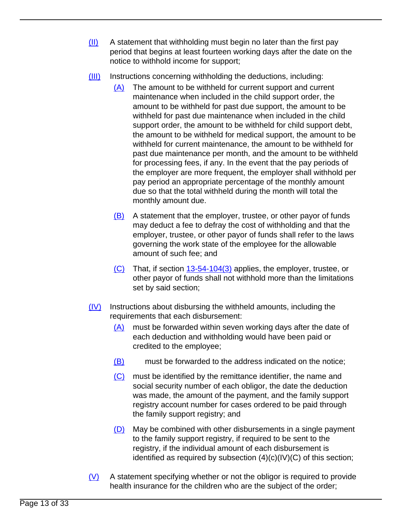- (II) A statement that withholding must begin no later than the first pay period that begins at least fourteen working days after the date on the notice to withhold income for support;
- (III) Instructions concerning withholding the deductions, including:
	- (A) The amount to be withheld for current support and current maintenance when included in the child support order, the amount to be withheld for past due support, the amount to be withheld for past due maintenance when included in the child support order, the amount to be withheld for child support debt, the amount to be withheld for medical support, the amount to be withheld for current maintenance, the amount to be withheld for past due maintenance per month, and the amount to be withheld for processing fees, if any. In the event that the pay periods of the employer are more frequent, the employer shall withhold per pay period an appropriate percentage of the monthly amount due so that the total withheld during the month will total the monthly amount due.
	- $(B)$  A statement that the employer, trustee, or other payor of funds may deduct a fee to defray the cost of withholding and that the employer, trustee, or other payor of funds shall refer to the laws governing the work state of the employee for the allowable amount of such fee; and
	- $(C)$  That, if section  $13-54-104(3)$  applies, the employer, trustee, or other payor of funds shall not withhold more than the limitations set by said section;
- (IV) Instructions about disbursing the withheld amounts, including the requirements that each disbursement:
	- (A) must be forwarded within seven working days after the date of each deduction and withholding would have been paid or credited to the employee;
	- (B) must be forwarded to the address indicated on the notice;
	- (C) must be identified by the remittance identifier, the name and social security number of each obligor, the date the deduction was made, the amount of the payment, and the family support registry account number for cases ordered to be paid through the family support registry; and
	- (D) May be combined with other disbursements in a single payment to the family support registry, if required to be sent to the registry, if the individual amount of each disbursement is identified as required by subsection  $(4)(c)(IV)(C)$  of this section;
- $(V)$  A statement specifying whether or not the obligor is required to provide health insurance for the children who are the subject of the order;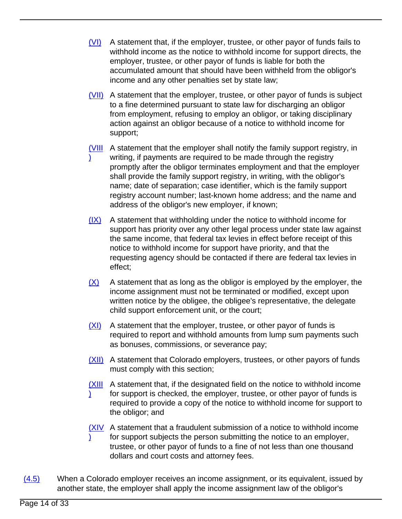- $(VI)$  A statement that, if the employer, trustee, or other payor of funds fails to withhold income as the notice to withhold income for support directs, the employer, trustee, or other payor of funds is liable for both the accumulated amount that should have been withheld from the obligor's income and any other penalties set by state law;
- (VII) A statement that the employer, trustee, or other payor of funds is subject to a fine determined pursuant to state law for discharging an obligor from employment, refusing to employ an obligor, or taking disciplinary action against an obligor because of a notice to withhold income for support;
- **WIII** A statement that the employer shall notify the family support registry, in ) writing, if payments are required to be made through the registry promptly after the obligor terminates employment and that the employer shall provide the family support registry, in writing, with the obligor's name; date of separation; case identifier, which is the family support registry account number; last-known home address; and the name and address of the obligor's new employer, if known;
- (IX) A statement that withholding under the notice to withhold income for support has priority over any other legal process under state law against the same income, that federal tax levies in effect before receipt of this notice to withhold income for support have priority, and that the requesting agency should be contacted if there are federal tax levies in effect;
- $(X)$  A statement that as long as the obligor is employed by the employer, the income assignment must not be terminated or modified, except upon written notice by the obligee, the obligee's representative, the delegate child support enforcement unit, or the court;
- (XI) A statement that the employer, trustee, or other payor of funds is required to report and withhold amounts from lump sum payments such as bonuses, commissions, or severance pay;
- (XII) A statement that Colorado employers, trustees, or other payors of funds must comply with this section;
- **(XIII** A statement that, if the designated field on the notice to withhold income ) for support is checked, the employer, trustee, or other payor of funds is required to provide a copy of the notice to withhold income for support to the obligor; and
- **(XIV** A statement that a fraudulent submission of a notice to withhold income ) for support subjects the person submitting the notice to an employer, trustee, or other payor of funds to a fine of not less than one thousand dollars and court costs and attorney fees.
- $(4.5)$  When a Colorado employer receives an income assignment, or its equivalent, issued by another state, the employer shall apply the income assignment law of the obligor's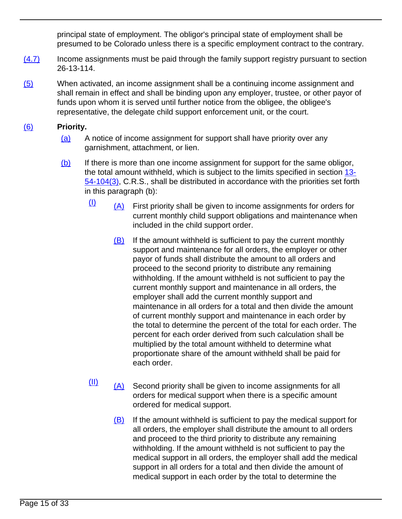principal state of employment. The obligor's principal state of employment shall be presumed to be Colorado unless there is a specific employment contract to the contrary.

- (4.7) Income assignments must be paid through the family support registry pursuant to section 26-13-114.
- (5) When activated, an income assignment shall be a continuing income assignment and shall remain in effect and shall be binding upon any employer, trustee, or other payor of funds upon whom it is served until further notice from the obligee, the obligee's representative, the delegate child support enforcement unit, or the court.

# (6) **Priority.**

- (a) A notice of income assignment for support shall have priority over any garnishment, attachment, or lien.
- $(b)$  If there is more than one income assignment for support for the same obligor, the total amount withheld, which is subject to the limits specified in section [13-](/NLLXML/getcode.asp?statecd=COampamp;codesec=13-54-104ampamp;sessionyr=2021ampamp;Title=13ampamp;datatype=Sampamp;noheader=0ampamp;nojumpmsg=0ampamp;nojumpmsg=0#13-54-104(3)) [54-104\(3\)](/NLLXML/getcode.asp?statecd=COampamp;codesec=13-54-104ampamp;sessionyr=2021ampamp;Title=13ampamp;datatype=Sampamp;noheader=0ampamp;nojumpmsg=0ampamp;nojumpmsg=0#13-54-104(3)), C.R.S., shall be distributed in accordance with the priorities set forth in this paragraph (b):
	- $\frac{1}{1}$  (A) First priority shall be given to income assignments for orders for current monthly child support obligations and maintenance when included in the child support order.
		- $(B)$  If the amount withheld is sufficient to pay the current monthly support and maintenance for all orders, the employer or other payor of funds shall distribute the amount to all orders and proceed to the second priority to distribute any remaining withholding. If the amount withheld is not sufficient to pay the current monthly support and maintenance in all orders, the employer shall add the current monthly support and maintenance in all orders for a total and then divide the amount of current monthly support and maintenance in each order by the total to determine the percent of the total for each order. The percent for each order derived from such calculation shall be multiplied by the total amount withheld to determine what proportionate share of the amount withheld shall be paid for each order.
	- $\frac{(\Pi)}{(\Pi)}$  (A) Second priority shall be given to income assignments for all orders for medical support when there is a specific amount ordered for medical support.
		- (B) If the amount withheld is sufficient to pay the medical support for all orders, the employer shall distribute the amount to all orders and proceed to the third priority to distribute any remaining withholding. If the amount withheld is not sufficient to pay the medical support in all orders, the employer shall add the medical support in all orders for a total and then divide the amount of medical support in each order by the total to determine the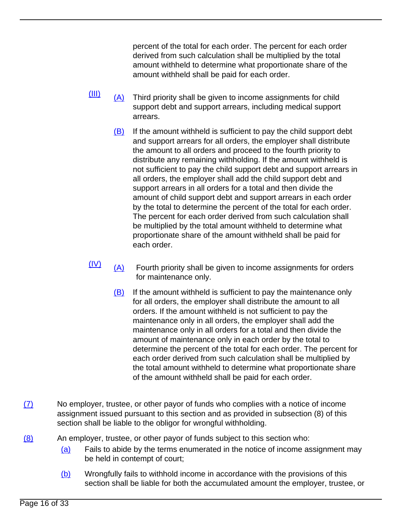percent of the total for each order. The percent for each order derived from such calculation shall be multiplied by the total amount withheld to determine what proportionate share of the amount withheld shall be paid for each order.

- $\frac{(\text{III})}{(\text{A})}$  Third priority shall be given to income assignments for child support debt and support arrears, including medical support arrears.
	- $(B)$  If the amount withheld is sufficient to pay the child support debt and support arrears for all orders, the employer shall distribute the amount to all orders and proceed to the fourth priority to distribute any remaining withholding. If the amount withheld is not sufficient to pay the child support debt and support arrears in all orders, the employer shall add the child support debt and support arrears in all orders for a total and then divide the amount of child support debt and support arrears in each order by the total to determine the percent of the total for each order. The percent for each order derived from such calculation shall be multiplied by the total amount withheld to determine what proportionate share of the amount withheld shall be paid for each order.
- $\frac{(\mathsf{IV})}{(\mathsf{A})}$  Fourth priority shall be given to income assignments for orders for maintenance only.
	- $(B)$  If the amount withheld is sufficient to pay the maintenance only for all orders, the employer shall distribute the amount to all orders. If the amount withheld is not sufficient to pay the maintenance only in all orders, the employer shall add the maintenance only in all orders for a total and then divide the amount of maintenance only in each order by the total to determine the percent of the total for each order. The percent for each order derived from such calculation shall be multiplied by the total amount withheld to determine what proportionate share of the amount withheld shall be paid for each order.
- (7) No employer, trustee, or other payor of funds who complies with a notice of income assignment issued pursuant to this section and as provided in subsection (8) of this section shall be liable to the obligor for wrongful withholding.
- (8) An employer, trustee, or other payor of funds subject to this section who:
	- (a) Fails to abide by the terms enumerated in the notice of income assignment may be held in contempt of court;
	- (b) Wrongfully fails to withhold income in accordance with the provisions of this section shall be liable for both the accumulated amount the employer, trustee, or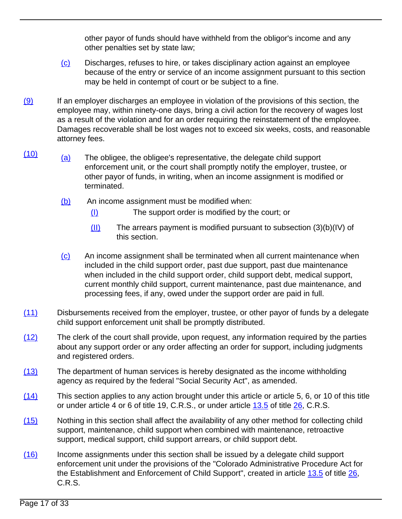other payor of funds should have withheld from the obligor's income and any other penalties set by state law;

- (c) Discharges, refuses to hire, or takes disciplinary action against an employee because of the entry or service of an income assignment pursuant to this section may be held in contempt of court or be subject to a fine.
- $(9)$  If an employer discharges an employee in violation of the provisions of this section, the employee may, within ninety-one days, bring a civil action for the recovery of wages lost as a result of the violation and for an order requiring the reinstatement of the employee. Damages recoverable shall be lost wages not to exceed six weeks, costs, and reasonable attorney fees.
- $\frac{(10)}{(a)}$  The obligee, the obligee's representative, the delegate child support enforcement unit, or the court shall promptly notify the employer, trustee, or other payor of funds, in writing, when an income assignment is modified or terminated.
	- (b) An income assignment must be modified when:
		- (I) The support order is modified by the court; or
		- (II) The arrears payment is modified pursuant to subsection (3)(b)(IV) of this section.
	- (c) An income assignment shall be terminated when all current maintenance when included in the child support order, past due support, past due maintenance when included in the child support order, child support debt, medical support, current monthly child support, current maintenance, past due maintenance, and processing fees, if any, owed under the support order are paid in full.
- (11) Disbursements received from the employer, trustee, or other payor of funds by a delegate child support enforcement unit shall be promptly distributed.
- $(12)$  The clerk of the court shall provide, upon request, any information required by the parties about any support order or any order affecting an order for support, including judgments and registered orders.
- (13) The department of human services is hereby designated as the income withholding agency as required by the federal "Social Security Act", as amended.
- $(14)$  This section applies to any action brought under this article or article 5, 6, or 10 of this title or under article 4 or 6 of title 19, C.R.S., or under article [13.5](/NLLXML/getcode.asp?statecd=COampamp;codesec=article13.5ampamp;sessionyr=2021ampamp;Title=26ampamp;datatype=Sampamp;noheader=0ampamp;nojumpmsg=0) of title [26,](/NLLXML/getcode.asp?statecd=COampamp;codesec=title26ampamp;sessionyr=2021ampamp;Title=26ampamp;datatype=Sampamp;noheader=0ampamp;nojumpmsg=0) C.R.S.
- (15) Nothing in this section shall affect the availability of any other method for collecting child support, maintenance, child support when combined with maintenance, retroactive support, medical support, child support arrears, or child support debt.
- (16) Income assignments under this section shall be issued by a delegate child support enforcement unit under the provisions of the "Colorado Administrative Procedure Act for the Establishment and Enforcement of Child Support", created in article [13.5](/NLLXML/getcode.asp?statecd=COampamp;codesec=article13.5ampamp;sessionyr=2021ampamp;Title=26ampamp;datatype=Sampamp;noheader=0ampamp;nojumpmsg=0) of title [26](/NLLXML/getcode.asp?statecd=COampamp;codesec=title26ampamp;sessionyr=2021ampamp;Title=26ampamp;datatype=Sampamp;noheader=0ampamp;nojumpmsg=0), C.R.S.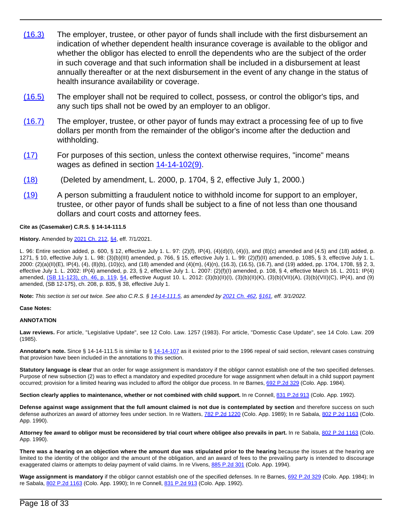- (16.3) The employer, trustee, or other payor of funds shall include with the first disbursement an indication of whether dependent health insurance coverage is available to the obligor and whether the obligor has elected to enroll the dependents who are the subject of the order in such coverage and that such information shall be included in a disbursement at least annually thereafter or at the next disbursement in the event of any change in the status of health insurance availability or coverage.
- (16.5) The employer shall not be required to collect, possess, or control the obligor's tips, and any such tips shall not be owed by an employer to an obligor.
- $(16.7)$  The employer, trustee, or other payor of funds may extract a processing fee of up to five dollars per month from the remainder of the obligor's income after the deduction and withholding.
- (17) For purposes of this section, unless the context otherwise requires, "income" means wages as defined in section  $14-14-102(9)$ .
- (18) (Deleted by amendment, L. 2000, p. 1704, § 2, effective July 1, 2000.)
- (19) A person submitting a fraudulent notice to withhold income for support to an employer, trustee, or other payor of funds shall be subject to a fine of not less than one thousand dollars and court costs and attorney fees.

#### **Cite as (Casemaker) C.R.S. § 14-14-111.5**

### **History.** Amended by [2021 Ch. 212,](/nllxml/getact.asp?statecd=COampamp;sessionyr=2021ampamp;actid=HB%201220ampamp;userid=REPLACE_LOGINIDampamp;noheader=0ampamp;nojumpmsg=0) [§4,](/nllxml/getact.asp?statecd=COampamp;sessionyr=2021ampamp;actid=HB%201220ampamp;userid=REPLACE_LOGINIDampamp;noheader=0ampamp;nojumpmsg=0#ActSec4) eff. 7/1/2021.

L. 96: Entire section added, p. 600, § 12, effective July 1. L. 97: (2)(f), IP(4), (4)(d)(I), (4)(i), and (8)(c) amended and (4.5) and (18) added, p. 1271, § 10, effective July 1. L. 98: (3)(b)(III) amended, p. 766, § 15, effective July 1. L. 99: (2)(f)(II) amended, p. 1085, § 3, effective July 1. L.  $2000$ :  $(2)(a)(11)(E)$ ,  $IP(4)$ ,  $(4)$ ,  $(8)(b)$ ,  $(10)(c)$ , and  $(18)$  amended and  $(4)(m)$ ,  $(4)(n)$ ,  $(16.3)$ ,  $(16.5)$ ,  $(16.7)$ , and  $(19)$  added, pp. 1704, 1708, §§ 2, 3, effective July 1. L. 2002: IP(4) amended, p. 23, § 2, effective July 1. L. 2007: (2)(f)(I) amended, p. 108, § 4, effective March 16. L. 2011: IP(4) amended,  $(SB 11-123)$ , ch. 46, p. 119, [§4,](/nllxml/getact.asp?statecd=COampamp;sessionyr=2011ampamp;actaltid=46ampamp;userid=REPLACE_LOGINIDampamp;noheader=0ampamp;nojumpmsg=0#ActSec4) effective August 10. L. 2012: (3)(b)(II)(I), (3)(b)(b)(l)(K), (3)(b)(VII)(A), (3)(b)(VII)(A), (3)(b)(VII)(C), IP(4), and (9) amended, (SB 12-175), ch. 208, p. 835, § 38, effective July 1.

**Note:** This section is set out twice. See also C.R.S. § [14-14-111.5](/NLLXML/getcode.asp?statecd=COampamp;codesec=14-14-111.5ampamp;sessionyr=2021ampamp;Title=14ampamp;version=2ampamp;datatype=Sampamp;noheader=0ampamp;nojumpmsg=0), as amended by [2021 Ch. 462,](/nllxml/getact.asp?statecd=COampamp;sessionyr=2021ampamp;actid=SB%20271ampamp;userid=REPLACE_LOGINIDampamp;noheader=0ampamp;nojumpmsg=0) [§161](/nllxml/getact.asp?statecd=COampamp;sessionyr=2021ampamp;actid=SB%20271ampamp;userid=REPLACE_LOGINIDampamp;noheader=0ampamp;nojumpmsg=0#ActSec161), eff. 3/1/2022.

#### **Case Notes:**

### **ANNOTATION**

**Law reviews.** For article, "Legislative Update", see 12 Colo. Law. 1257 (1983). For article, "Domestic Case Update", see 14 Colo. Law. 209 (1985).

**Annotator's note.** Since § 14-14-111.5 is similar to § [14-14-107](/NLLXML/getcode.asp?statecd=COampamp;codesec=14-14-107ampamp;sessionyr=2021ampamp;Title=14ampamp;datatype=Sampamp;noheader=0ampamp;nojumpmsg=0) as it existed prior to the 1996 repeal of said section, relevant cases construing that provision have been included in the annotations to this section.

**Statutory language is clear** that an order for wage assignment is mandatory if the obligor cannot establish one of the two specified defenses. Purpose of new subsection (2) was to effect a mandatory and expedited procedure for wage assignment when default in a child support payment occurred; provision for a limited hearing was included to afford the obligor due process. In re Barnes, [692 P.2d 329](/NLLXML/getcase.asp?citation=692%20P.2d%20329ampamp;casedate=1984-11-01ampamp;statecd=COampamp;bookname=Case_Lawampamp;noheader=0ampamp;nojumpmsg=0) (Colo. App. 1984).

Section clearly applies to maintenance, whether or not combined with child support. In re Connell, [831 P.2d 913](/NLLXML/getcase.asp?citation=831%20P.2d%20913ampamp;casedate=1992-04-23ampamp;statecd=COampamp;bookname=Case_Lawampamp;noheader=0ampamp;nojumpmsg=0) (Colo. App. 1992).

**Defense against wage assignment that the full amount claimed is not due is contemplated by section** and therefore success on such defense authorizes an award of attorney fees under section. In re Watters, [782 P.2d 1220](/NLLXML/getcase.asp?citation=782%20P.2d%201220ampamp;casedate=1989-10-26ampamp;statecd=COampamp;bookname=Case_Lawampamp;noheader=0ampamp;nojumpmsg=0) (Colo. App. 1989); In re Sabala, [802 P.2d 1163](/NLLXML/getcase.asp?citation=802%20P.2d%201163ampamp;casedate=1990-10-11ampamp;statecd=COampamp;bookname=Case_Lawampamp;noheader=0ampamp;nojumpmsg=0) (Colo. App. 1990).

Attorney fee award to obligor must be reconsidered by trial court where obligee also prevails in part. In re Sabala, [802 P.2d 1163](/NLLXML/getcase.asp?citation=802%20P.2d%201163ampamp;casedate=1990-10-11ampamp;statecd=COampamp;bookname=Case_Lawampamp;noheader=0ampamp;nojumpmsg=0) (Colo. App. 1990).

**There was a hearing on an objection where the amount due was stipulated prior to the hearing** because the issues at the hearing are limited to the identity of the obligor and the amount of the obligation, and an award of fees to the prevailing party is intended to discourage exaggerated claims or attempts to delay payment of valid claims. In re Vivens, [885 P.2d 301](/NLLXML/getcase.asp?citation=885%20P.2d%20301ampamp;casedate=1994-06-16ampamp;statecd=COampamp;bookname=Case_Lawampamp;noheader=0ampamp;nojumpmsg=0) (Colo. App. 1994).

Wage assignment is mandatory if the obligor cannot establish one of the specified defenses. In re Barnes, [692 P.2d 329](/NLLXML/getcase.asp?citation=692%20P.2d%20329ampamp;casedate=1984-11-01ampamp;statecd=COampamp;bookname=Case_Lawampamp;noheader=0ampamp;nojumpmsg=0) (Colo. App. 1984); In re Sabala, [802 P.2d 1163](/NLLXML/getcase.asp?citation=802%20P.2d%201163ampamp;casedate=1990-10-11ampamp;statecd=COampamp;bookname=Case_Lawampamp;noheader=0ampamp;nojumpmsg=0) (Colo. App. 1990); In re Connell, [831 P.2d 913](/NLLXML/getcase.asp?citation=831%20P.2d%20913ampamp;casedate=1992-04-23ampamp;statecd=COampamp;bookname=Case_Lawampamp;noheader=0ampamp;nojumpmsg=0) (Colo. App. 1992).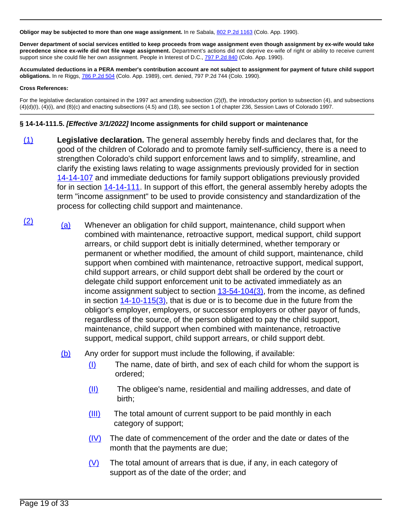**Obligor may be subjected to more than one wage assignment.** In re Sabala, [802 P.2d 1163](/NLLXML/getcase.asp?citation=802%20P.2d%201163ampamp;casedate=1990-10-11ampamp;statecd=COampamp;bookname=Case_Lawampamp;noheader=0ampamp;nojumpmsg=0) (Colo. App. 1990).

**Denver department of social services entitled to keep proceeds from wage assignment even though assignment by ex-wife would take precedence since ex-wife did not file wage assignment.** Department's actions did not deprive ex-wife of right or ability to receive current support since she could file her own assignment. People in Interest of D.C., [797 P.2d 840](/NLLXML/getcase.asp?citation=797%20P.2d%20840ampamp;casedate=1990-08-09ampamp;statecd=COampamp;bookname=Case_Lawampamp;noheader=0ampamp;nojumpmsg=0) (Colo. App. 1990).

**Accumulated deductions in a PERA member's contribution account are not subject to assignment for payment of future child support obligations.** In re Riggs, [786 P.2d 504](/NLLXML/getcase.asp?citation=786%20P.2d%20504ampamp;casedate=1989-12-21ampamp;statecd=COampamp;bookname=Case_Lawampamp;noheader=0ampamp;nojumpmsg=0) (Colo. App. 1989), cert. denied, 797 P.2d 744 (Colo. 1990).

### **Cross References:**

For the legislative declaration contained in the 1997 act amending subsection (2)(f), the introductory portion to subsection (4), and subsections (4)(d)(I), (4)(i), and (8)(c) and enacting subsections (4.5) and (18), see section 1 of chapter 236, Session Laws of Colorado 1997.

## **§ 14-14-111.5. [Effective 3/1/2022] Income assignments for child support or maintenance**

- (1) **Legislative declaration.** The general assembly hereby finds and declares that, for the good of the children of Colorado and to promote family self-sufficiency, there is a need to strengthen Colorado's child support enforcement laws and to simplify, streamline, and clarify the existing laws relating to wage assignments previously provided for in section [14-14-107](/NLLXML/getcode.asp?statecd=COampamp;codesec=14-14-107ampamp;sessionyr=2021ampamp;Title=14ampamp;datatype=Sampamp;noheader=0ampamp;nojumpmsg=0) and immediate deductions for family support obligations previously provided for in section [14-14-111](/NLLXML/getcode.asp?statecd=COampamp;codesec=14-14-111ampamp;sessionyr=2021ampamp;Title=14ampamp;datatype=Sampamp;noheader=0ampamp;nojumpmsg=0). In support of this effort, the general assembly hereby adopts the term "income assignment" to be used to provide consistency and standardization of the process for collecting child support and maintenance.
- $\frac{12}{2}$  (a) Whenever an obligation for child support, maintenance, child support when combined with maintenance, retroactive support, medical support, child support arrears, or child support debt is initially determined, whether temporary or permanent or whether modified, the amount of child support, maintenance, child support when combined with maintenance, retroactive support, medical support, child support arrears, or child support debt shall be ordered by the court or delegate child support enforcement unit to be activated immediately as an income assignment subject to section  $13-54-104(3)$ , from the income, as defined in section [14-10-115\(3\)](/NLLXML/getcode.asp?statecd=COampamp;codesec=14-10-115ampamp;sessionyr=2021ampamp;Title=14ampamp;datatype=Sampamp;noheader=0ampamp;nojumpmsg=0ampamp;nojumpmsg=0#14-10-115(3)), that is due or is to become due in the future from the obligor's employer, employers, or successor employers or other payor of funds, regardless of the source, of the person obligated to pay the child support, maintenance, child support when combined with maintenance, retroactive support, medical support, child support arrears, or child support debt.
	- (b) Any order for support must include the following, if available:
		- (I) The name, date of birth, and sex of each child for whom the support is ordered;
		- (II) The obligee's name, residential and mailing addresses, and date of birth;
		- (III) The total amount of current support to be paid monthly in each category of support;
		- (IV) The date of commencement of the order and the date or dates of the month that the payments are due;
		- $(V)$  The total amount of arrears that is due, if any, in each category of support as of the date of the order; and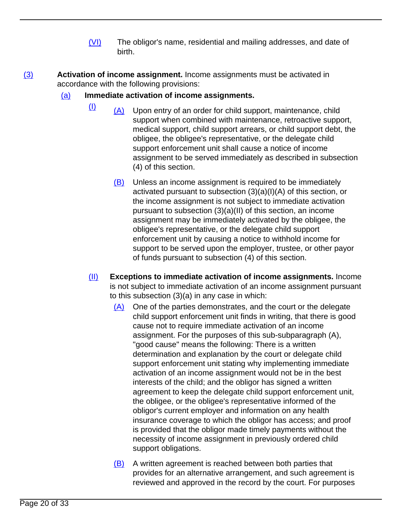- (VI) The obligor's name, residential and mailing addresses, and date of birth.
- (3) **Activation of income assignment.** Income assignments must be activated in accordance with the following provisions:

# (a) **Immediate activation of income assignments.**

- $\frac{1}{2}$  (A) Upon entry of an order for child support, maintenance, child support when combined with maintenance, retroactive support, medical support, child support arrears, or child support debt, the obligee, the obligee's representative, or the delegate child support enforcement unit shall cause a notice of income assignment to be served immediately as described in subsection (4) of this section.
	- (B) Unless an income assignment is required to be immediately activated pursuant to subsection (3)(a)(I)(A) of this section, or the income assignment is not subject to immediate activation pursuant to subsection (3)(a)(II) of this section, an income assignment may be immediately activated by the obligee, the obligee's representative, or the delegate child support enforcement unit by causing a notice to withhold income for support to be served upon the employer, trustee, or other payor of funds pursuant to subsection (4) of this section.
- (II) **Exceptions to immediate activation of income assignments.** Income is not subject to immediate activation of an income assignment pursuant to this subsection (3)(a) in any case in which:
	- (A) One of the parties demonstrates, and the court or the delegate child support enforcement unit finds in writing, that there is good cause not to require immediate activation of an income assignment. For the purposes of this sub-subparagraph (A), "good cause" means the following: There is a written determination and explanation by the court or delegate child support enforcement unit stating why implementing immediate activation of an income assignment would not be in the best interests of the child; and the obligor has signed a written agreement to keep the delegate child support enforcement unit, the obligee, or the obligee's representative informed of the obligor's current employer and information on any health insurance coverage to which the obligor has access; and proof is provided that the obligor made timely payments without the necessity of income assignment in previously ordered child support obligations.
	- (B) A written agreement is reached between both parties that provides for an alternative arrangement, and such agreement is reviewed and approved in the record by the court. For purposes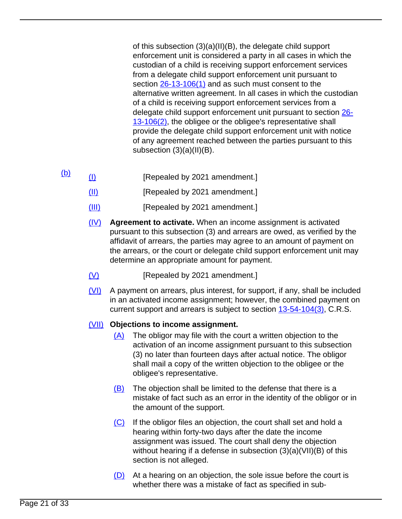of this subsection (3)(a)(II)(B), the delegate child support enforcement unit is considered a party in all cases in which the custodian of a child is receiving support enforcement services from a delegate child support enforcement unit pursuant to section [26-13-106\(1\)](/NLLXML/getcode.asp?statecd=COampamp;codesec=26-13-106ampamp;sessionyr=2021ampamp;Title=26ampamp;datatype=Sampamp;noheader=0ampamp;nojumpmsg=0ampamp;nojumpmsg=0#26-13-106(1)) and as such must consent to the alternative written agreement. In all cases in which the custodian of a child is receiving support enforcement services from a delegate child support enforcement unit pursuant to section [26-](/NLLXML/getcode.asp?statecd=COampamp;codesec=26-13-106ampamp;sessionyr=2021ampamp;Title=26ampamp;datatype=Sampamp;noheader=0ampamp;nojumpmsg=0ampamp;nojumpmsg=0#26-13-106(2)) [13-106\(2\)](/NLLXML/getcode.asp?statecd=COampamp;codesec=26-13-106ampamp;sessionyr=2021ampamp;Title=26ampamp;datatype=Sampamp;noheader=0ampamp;nojumpmsg=0ampamp;nojumpmsg=0#26-13-106(2)), the obligee or the obligee's representative shall provide the delegate child support enforcement unit with notice of any agreement reached between the parties pursuant to this subsection (3)(a)(II)(B).

- $\underline{(b)}$  (I) [Repealed by 2021 amendment.]
	- (II) [Repealed by 2021 amendment.]
	- (III) [Repealed by 2021 amendment.]
	- (IV) **Agreement to activate.** When an income assignment is activated pursuant to this subsection (3) and arrears are owed, as verified by the affidavit of arrears, the parties may agree to an amount of payment on the arrears, or the court or delegate child support enforcement unit may determine an appropriate amount for payment.
	- (V) [Repealed by 2021 amendment.]
	- (VI) A payment on arrears, plus interest, for support, if any, shall be included in an activated income assignment; however, the combined payment on current support and arrears is subject to section [13-54-104\(3\),](/NLLXML/getcode.asp?statecd=COampamp;codesec=13-54-104ampamp;sessionyr=2021ampamp;Title=13ampamp;datatype=Sampamp;noheader=0ampamp;nojumpmsg=0ampamp;nojumpmsg=0#13-54-104(3)) C.R.S.

# (VII) **Objections to income assignment.**

- (A) The obligor may file with the court a written objection to the activation of an income assignment pursuant to this subsection (3) no later than fourteen days after actual notice. The obligor shall mail a copy of the written objection to the obligee or the obligee's representative.
- $(B)$  The objection shall be limited to the defense that there is a mistake of fact such as an error in the identity of the obligor or in the amount of the support.
- (C) If the obligor files an objection, the court shall set and hold a hearing within forty-two days after the date the income assignment was issued. The court shall deny the objection without hearing if a defense in subsection (3)(a)(VII)(B) of this section is not alleged.
- $(D)$  At a hearing on an objection, the sole issue before the court is whether there was a mistake of fact as specified in sub-
- Page 21 of 33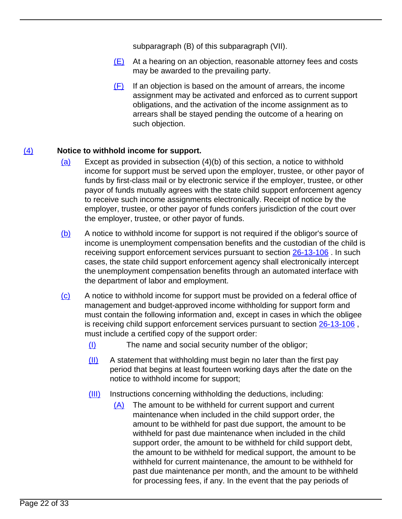subparagraph (B) of this subparagraph (VII).

- (E) At a hearing on an objection, reasonable attorney fees and costs may be awarded to the prevailing party.
- (F) If an objection is based on the amount of arrears, the income assignment may be activated and enforced as to current support obligations, and the activation of the income assignment as to arrears shall be stayed pending the outcome of a hearing on such objection.

# (4) **Notice to withhold income for support.**

- $(a)$  Except as provided in subsection  $(4)(b)$  of this section, a notice to withhold income for support must be served upon the employer, trustee, or other payor of funds by first-class mail or by electronic service if the employer, trustee, or other payor of funds mutually agrees with the state child support enforcement agency to receive such income assignments electronically. Receipt of notice by the employer, trustee, or other payor of funds confers jurisdiction of the court over the employer, trustee, or other payor of funds.
- (b) A notice to withhold income for support is not required if the obligor's source of income is unemployment compensation benefits and the custodian of the child is receiving support enforcement services pursuant to section [26-13-106](/NLLXML/getcode.asp?statecd=COampamp;codesec=26-13-106ampamp;sessionyr=2021ampamp;Title=26ampamp;datatype=Sampamp;noheader=0ampamp;nojumpmsg=0) . In such cases, the state child support enforcement agency shall electronically intercept the unemployment compensation benefits through an automated interface with the department of labor and employment.
- (c) A notice to withhold income for support must be provided on a federal office of management and budget-approved income withholding for support form and must contain the following information and, except in cases in which the obligee is receiving child support enforcement services pursuant to section  $26-13-106$ , must include a certified copy of the support order:
	- (I) The name and social security number of the obligor;
	- $(11)$  A statement that withholding must begin no later than the first pay period that begins at least fourteen working days after the date on the notice to withhold income for support;
	- (III) Instructions concerning withholding the deductions, including:
		- (A) The amount to be withheld for current support and current maintenance when included in the child support order, the amount to be withheld for past due support, the amount to be withheld for past due maintenance when included in the child support order, the amount to be withheld for child support debt, the amount to be withheld for medical support, the amount to be withheld for current maintenance, the amount to be withheld for past due maintenance per month, and the amount to be withheld for processing fees, if any. In the event that the pay periods of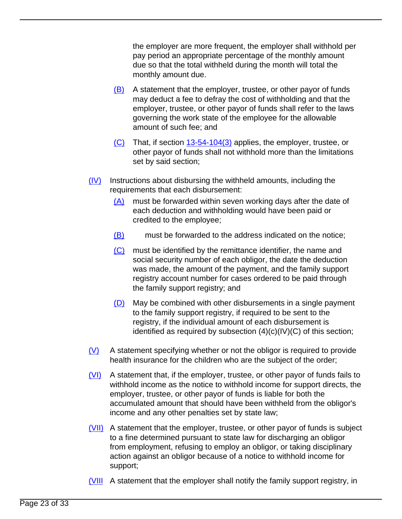the employer are more frequent, the employer shall withhold per pay period an appropriate percentage of the monthly amount due so that the total withheld during the month will total the monthly amount due.

- $(B)$  A statement that the employer, trustee, or other payor of funds may deduct a fee to defray the cost of withholding and that the employer, trustee, or other payor of funds shall refer to the laws governing the work state of the employee for the allowable amount of such fee; and
- $(C)$  That, if section [13-54-104\(3\)](/NLLXML/getcode.asp?statecd=COampamp;codesec=13-54-104ampamp;sessionyr=2021ampamp;Title=13ampamp;datatype=Sampamp;noheader=0ampamp;nojumpmsg=0ampamp;nojumpmsg=0#13-54-104(3)) applies, the employer, trustee, or other payor of funds shall not withhold more than the limitations set by said section;
- $(IV)$  Instructions about disbursing the withheld amounts, including the requirements that each disbursement:
	- (A) must be forwarded within seven working days after the date of each deduction and withholding would have been paid or credited to the employee;
	- (B) must be forwarded to the address indicated on the notice;
	- (C) must be identified by the remittance identifier, the name and social security number of each obligor, the date the deduction was made, the amount of the payment, and the family support registry account number for cases ordered to be paid through the family support registry; and
	- (D) May be combined with other disbursements in a single payment to the family support registry, if required to be sent to the registry, if the individual amount of each disbursement is identified as required by subsection (4)(c)(IV)(C) of this section;
- $(V)$  A statement specifying whether or not the obligor is required to provide health insurance for the children who are the subject of the order;
- (VI) A statement that, if the employer, trustee, or other payor of funds fails to withhold income as the notice to withhold income for support directs, the employer, trustee, or other payor of funds is liable for both the accumulated amount that should have been withheld from the obligor's income and any other penalties set by state law;
- (VII) A statement that the employer, trustee, or other payor of funds is subject to a fine determined pursuant to state law for discharging an obligor from employment, refusing to employ an obligor, or taking disciplinary action against an obligor because of a notice to withhold income for support;
- (VIII A statement that the employer shall notify the family support registry, in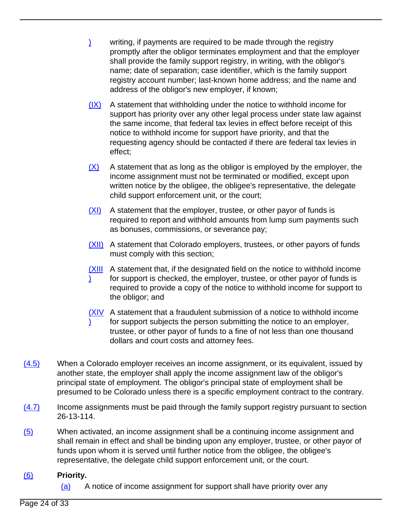- ) writing, if payments are required to be made through the registry promptly after the obligor terminates employment and that the employer shall provide the family support registry, in writing, with the obligor's name; date of separation; case identifier, which is the family support registry account number; last-known home address; and the name and address of the obligor's new employer, if known;
- $(IX)$  A statement that withholding under the notice to withhold income for support has priority over any other legal process under state law against the same income, that federal tax levies in effect before receipt of this notice to withhold income for support have priority, and that the requesting agency should be contacted if there are federal tax levies in effect;
- $(X)$  A statement that as long as the obligor is employed by the employer, the income assignment must not be terminated or modified, except upon written notice by the obligee, the obligee's representative, the delegate child support enforcement unit, or the court;
- $(XI)$  A statement that the employer, trustee, or other payor of funds is required to report and withhold amounts from lump sum payments such as bonuses, commissions, or severance pay;
- (XII) A statement that Colorado employers, trustees, or other payors of funds must comply with this section;
- **(XIII** A statement that, if the designated field on the notice to withhold income ) for support is checked, the employer, trustee, or other payor of funds is required to provide a copy of the notice to withhold income for support to the obligor; and
- **(XIV** A statement that a fraudulent submission of a notice to withhold income ) for support subjects the person submitting the notice to an employer, trustee, or other payor of funds to a fine of not less than one thousand dollars and court costs and attorney fees.
- (4.5) When a Colorado employer receives an income assignment, or its equivalent, issued by another state, the employer shall apply the income assignment law of the obligor's principal state of employment. The obligor's principal state of employment shall be presumed to be Colorado unless there is a specific employment contract to the contrary.
- $(4.7)$  Income assignments must be paid through the family support registry pursuant to section 26-13-114.
- (5) When activated, an income assignment shall be a continuing income assignment and shall remain in effect and shall be binding upon any employer, trustee, or other payor of funds upon whom it is served until further notice from the obligee, the obligee's representative, the delegate child support enforcement unit, or the court.

# (6) **Priority.**

(a) A notice of income assignment for support shall have priority over any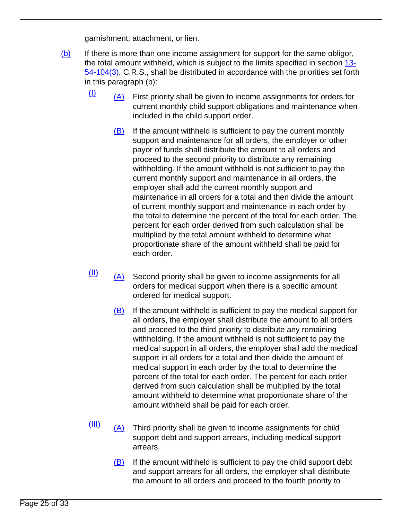garnishment, attachment, or lien.

- $(b)$  If there is more than one income assignment for support for the same obligor, the total amount withheld, which is subject to the limits specified in section [13-](/NLLXML/getcode.asp?statecd=COampamp;codesec=13-54-104ampamp;sessionyr=2021ampamp;Title=13ampamp;datatype=Sampamp;noheader=0ampamp;nojumpmsg=0ampamp;nojumpmsg=0#13-54-104(3)) [54-104\(3\)](/NLLXML/getcode.asp?statecd=COampamp;codesec=13-54-104ampamp;sessionyr=2021ampamp;Title=13ampamp;datatype=Sampamp;noheader=0ampamp;nojumpmsg=0ampamp;nojumpmsg=0#13-54-104(3)), C.R.S., shall be distributed in accordance with the priorities set forth in this paragraph (b):
	- $\frac{I(1)}{I(1)}$  First priority shall be given to income assignments for orders for current monthly child support obligations and maintenance when included in the child support order.
		- $(B)$  If the amount withheld is sufficient to pay the current monthly support and maintenance for all orders, the employer or other payor of funds shall distribute the amount to all orders and proceed to the second priority to distribute any remaining withholding. If the amount withheld is not sufficient to pay the current monthly support and maintenance in all orders, the employer shall add the current monthly support and maintenance in all orders for a total and then divide the amount of current monthly support and maintenance in each order by the total to determine the percent of the total for each order. The percent for each order derived from such calculation shall be multiplied by the total amount withheld to determine what proportionate share of the amount withheld shall be paid for each order.
	- $\frac{(\Pi)}{(\Lambda)}$  Second priority shall be given to income assignments for all orders for medical support when there is a specific amount ordered for medical support.
		- (B) If the amount withheld is sufficient to pay the medical support for all orders, the employer shall distribute the amount to all orders and proceed to the third priority to distribute any remaining withholding. If the amount withheld is not sufficient to pay the medical support in all orders, the employer shall add the medical support in all orders for a total and then divide the amount of medical support in each order by the total to determine the percent of the total for each order. The percent for each order derived from such calculation shall be multiplied by the total amount withheld to determine what proportionate share of the amount withheld shall be paid for each order.
	- $\frac{[III]}{[A]}$  Third priority shall be given to income assignments for child support debt and support arrears, including medical support arrears.
		- (B) If the amount withheld is sufficient to pay the child support debt and support arrears for all orders, the employer shall distribute the amount to all orders and proceed to the fourth priority to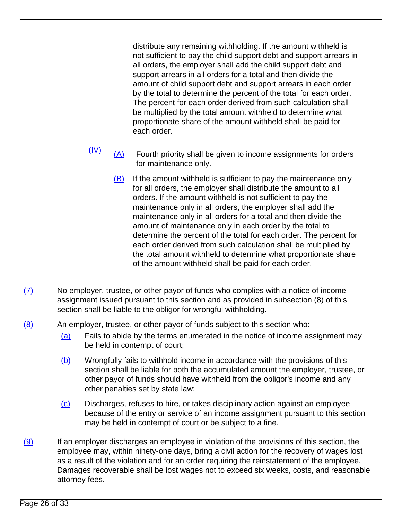distribute any remaining withholding. If the amount withheld is not sufficient to pay the child support debt and support arrears in all orders, the employer shall add the child support debt and support arrears in all orders for a total and then divide the amount of child support debt and support arrears in each order by the total to determine the percent of the total for each order. The percent for each order derived from such calculation shall be multiplied by the total amount withheld to determine what proportionate share of the amount withheld shall be paid for each order.

- $\frac{(IV)}{(A)}$  Fourth priority shall be given to income assignments for orders for maintenance only.
	- (B) If the amount withheld is sufficient to pay the maintenance only for all orders, the employer shall distribute the amount to all orders. If the amount withheld is not sufficient to pay the maintenance only in all orders, the employer shall add the maintenance only in all orders for a total and then divide the amount of maintenance only in each order by the total to determine the percent of the total for each order. The percent for each order derived from such calculation shall be multiplied by the total amount withheld to determine what proportionate share of the amount withheld shall be paid for each order.
- $(7)$  No employer, trustee, or other payor of funds who complies with a notice of income assignment issued pursuant to this section and as provided in subsection (8) of this section shall be liable to the obligor for wrongful withholding.
- (8) An employer, trustee, or other payor of funds subject to this section who:
	- (a) Fails to abide by the terms enumerated in the notice of income assignment may be held in contempt of court;
	- (b) Wrongfully fails to withhold income in accordance with the provisions of this section shall be liable for both the accumulated amount the employer, trustee, or other payor of funds should have withheld from the obligor's income and any other penalties set by state law;
	- (c) Discharges, refuses to hire, or takes disciplinary action against an employee because of the entry or service of an income assignment pursuant to this section may be held in contempt of court or be subject to a fine.
- $(9)$  If an employer discharges an employee in violation of the provisions of this section, the employee may, within ninety-one days, bring a civil action for the recovery of wages lost as a result of the violation and for an order requiring the reinstatement of the employee. Damages recoverable shall be lost wages not to exceed six weeks, costs, and reasonable attorney fees.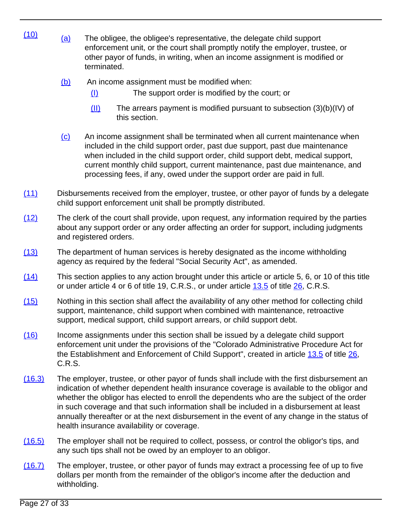- $(10)$  (a) The obligee, the obligee's representative, the delegate child support enforcement unit, or the court shall promptly notify the employer, trustee, or other payor of funds, in writing, when an income assignment is modified or terminated.
	- (b) An income assignment must be modified when:
		- (I) The support order is modified by the court; or
		- (II) The arrears payment is modified pursuant to subsection (3)(b)(IV) of this section.
	- (c) An income assignment shall be terminated when all current maintenance when included in the child support order, past due support, past due maintenance when included in the child support order, child support debt, medical support, current monthly child support, current maintenance, past due maintenance, and processing fees, if any, owed under the support order are paid in full.
- (11) Disbursements received from the employer, trustee, or other payor of funds by a delegate child support enforcement unit shall be promptly distributed.
- (12) The clerk of the court shall provide, upon request, any information required by the parties about any support order or any order affecting an order for support, including judgments and registered orders.
- (13) The department of human services is hereby designated as the income withholding agency as required by the federal "Social Security Act", as amended.
- (14) This section applies to any action brought under this article or article 5, 6, or 10 of this title or under article 4 or 6 of title 19, C.R.S., or under article [13.5](/NLLXML/getcode.asp?statecd=COampamp;codesec=article13.5ampamp;sessionyr=2021ampamp;Title=26ampamp;datatype=Sampamp;noheader=0ampamp;nojumpmsg=0) of title [26,](/NLLXML/getcode.asp?statecd=COampamp;codesec=title26ampamp;sessionyr=2021ampamp;Title=26ampamp;datatype=Sampamp;noheader=0ampamp;nojumpmsg=0) C.R.S.
- (15) Nothing in this section shall affect the availability of any other method for collecting child support, maintenance, child support when combined with maintenance, retroactive support, medical support, child support arrears, or child support debt.
- (16) Income assignments under this section shall be issued by a delegate child support enforcement unit under the provisions of the "Colorado Administrative Procedure Act for the Establishment and Enforcement of Child Support", created in article [13.5](/NLLXML/getcode.asp?statecd=COampamp;codesec=article13.5ampamp;sessionyr=2021ampamp;Title=26ampamp;datatype=Sampamp;noheader=0ampamp;nojumpmsg=0) of title [26](/NLLXML/getcode.asp?statecd=COampamp;codesec=title26ampamp;sessionyr=2021ampamp;Title=26ampamp;datatype=Sampamp;noheader=0ampamp;nojumpmsg=0), C.R.S.
- (16.3) The employer, trustee, or other payor of funds shall include with the first disbursement an indication of whether dependent health insurance coverage is available to the obligor and whether the obligor has elected to enroll the dependents who are the subject of the order in such coverage and that such information shall be included in a disbursement at least annually thereafter or at the next disbursement in the event of any change in the status of health insurance availability or coverage.
- (16.5) The employer shall not be required to collect, possess, or control the obligor's tips, and any such tips shall not be owed by an employer to an obligor.
- (16.7) The employer, trustee, or other payor of funds may extract a processing fee of up to five dollars per month from the remainder of the obligor's income after the deduction and withholding.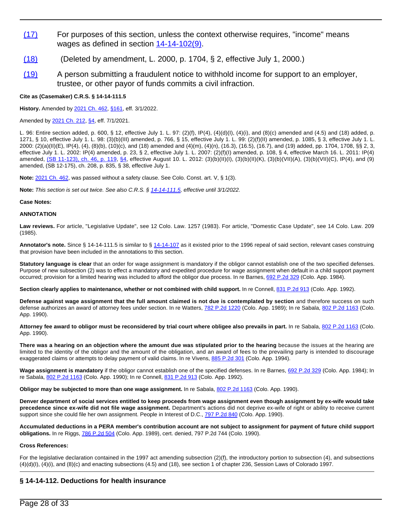- (17) For purposes of this section, unless the context otherwise requires, "income" means wages as defined in section [14-14-102\(9\)](/NLLXML/getcode.asp?statecd=COampamp;codesec=14-14-102ampamp;sessionyr=2021ampamp;Title=14ampamp;datatype=Sampamp;noheader=0ampamp;nojumpmsg=0ampamp;nojumpmsg=0#14-14-102(9)).
- (18) (Deleted by amendment, L. 2000, p. 1704, § 2, effective July 1, 2000.)
- (19) A person submitting a fraudulent notice to withhold income for support to an employer, trustee, or other payor of funds commits a civil infraction.

#### **Cite as (Casemaker) C.R.S. § 14-14-111.5**

**History.** Amended by [2021 Ch. 462,](/nllxml/getact.asp?statecd=COampamp;sessionyr=2021ampamp;actid=SB%20271ampamp;userid=REPLACE_LOGINIDampamp;noheader=0ampamp;nojumpmsg=0) [§161,](/nllxml/getact.asp?statecd=COampamp;sessionyr=2021ampamp;actid=SB%20271ampamp;userid=REPLACE_LOGINIDampamp;noheader=0ampamp;nojumpmsg=0#ActSec161) eff. 3/1/2022.

Amended by [2021 Ch. 212,](/nllxml/getact.asp?statecd=COampamp;sessionyr=2021ampamp;actid=HB%201220ampamp;userid=REPLACE_LOGINIDampamp;noheader=0ampamp;nojumpmsg=0) [§4,](/nllxml/getact.asp?statecd=COampamp;sessionyr=2021ampamp;actid=HB%201220ampamp;userid=REPLACE_LOGINIDampamp;noheader=0ampamp;nojumpmsg=0#ActSec4) eff. 7/1/2021.

L. 96: Entire section added, p. 600, § 12, effective July 1. L. 97: (2)(f), IP(4), (4)(d)(I), (4)(i), and (8)(c) amended and (4.5) and (18) added, p. 1271, § 10, effective July 1. L. 98: (3)(b)(III) amended, p. 766, § 15, effective July 1. L. 99: (2)(f)(II) amended, p. 1085, § 3, effective July 1. L. 2000: (2)(a)(II)(E), IP(4), (4), (8)(b), (10)(c), and (18) amended and (4)(m), (4)(n), (16.3), (16.5), (16.7), and (19) added, pp. 1704, 1708, §§ 2, 3, effective July 1. L. 2002: IP(4) amended, p. 23, § 2, effective July 1. L. 2007: (2)(f)(I) amended, p. 108, § 4, effective March 16. L. 2011: IP(4) amended, [\(SB 11-123\), ch. 46, p. 119,](/nllxml/getact.asp?statecd=COampamp;sessionyr=2011ampamp;actaltid=46ampamp;userid=REPLACE_LOGINIDampamp;noheader=0ampamp;nojumpmsg=0) [§4,](/nllxml/getact.asp?statecd=COampamp;sessionyr=2011ampamp;actaltid=46ampamp;userid=REPLACE_LOGINIDampamp;noheader=0ampamp;nojumpmsg=0#ActSec4) effective August 10. L. 2012: (3)(b)(II)(l), (3)(b)(ll)(K), (3)(b)(VII)(A), (3)(b)(VII)(C), IP(4), and (9) amended, (SB 12-175), ch. 208, p. 835, § 38, effective July 1.

**Note:** [2021 Ch. 462](/nllxml/getact.asp?statecd=COampamp;sessionyr=2021ampamp;actid=SB%20271ampamp;userid=REPLACE_LOGINIDampamp;noheader=0ampamp;nojumpmsg=0), was passed without a safety clause. See Colo. Const. art. V, § 1(3).

**Note:** This section is set out twice. See also C.R.S. § [14-14-111.5](/NLLXML/getcode.asp?statecd=COampamp;codesec=14-14-111.5ampamp;sessionyr=2021ampamp;Title=14ampamp;version=1ampamp;datatype=Sampamp;noheader=0ampamp;nojumpmsg=0), effective until 3/1/2022.

#### **Case Notes:**

#### **ANNOTATION**

**Law reviews.** For article, "Legislative Update", see 12 Colo. Law. 1257 (1983). For article, "Domestic Case Update", see 14 Colo. Law. 209 (1985).

Annotator's note. Since § 14-14-111.5 is similar to § [14-14-107](/NLLXML/getcode.asp?statecd=COampamp;codesec=14-14-107ampamp;sessionyr=2021ampamp;Title=14ampamp;datatype=Sampamp;noheader=0ampamp;nojumpmsg=0) as it existed prior to the 1996 repeal of said section, relevant cases construing that provision have been included in the annotations to this section.

**Statutory language is clear** that an order for wage assignment is mandatory if the obligor cannot establish one of the two specified defenses. Purpose of new subsection (2) was to effect a mandatory and expedited procedure for wage assignment when default in a child support payment occurred; provision for a limited hearing was included to afford the obligor due process. In re Barnes, [692 P.2d 329](/NLLXML/getcase.asp?citation=692%20P.2d%20329ampamp;casedate=1984-11-01ampamp;statecd=COampamp;bookname=Case_Lawampamp;noheader=0ampamp;nojumpmsg=0) (Colo. App. 1984).

Section clearly applies to maintenance, whether or not combined with child support. In re Connell, [831 P.2d 913](/NLLXML/getcase.asp?citation=831%20P.2d%20913ampamp;casedate=1992-04-23ampamp;statecd=COampamp;bookname=Case_Lawampamp;noheader=0ampamp;nojumpmsg=0) (Colo. App. 1992).

**Defense against wage assignment that the full amount claimed is not due is contemplated by section** and therefore success on such defense authorizes an award of attorney fees under section. In re Watters, [782 P.2d 1220](/NLLXML/getcase.asp?citation=782%20P.2d%201220ampamp;casedate=1989-10-26ampamp;statecd=COampamp;bookname=Case_Lawampamp;noheader=0ampamp;nojumpmsg=0) (Colo. App. 1989); In re Sabala, [802 P.2d 1163](/NLLXML/getcase.asp?citation=802%20P.2d%201163ampamp;casedate=1990-10-11ampamp;statecd=COampamp;bookname=Case_Lawampamp;noheader=0ampamp;nojumpmsg=0) (Colo. App. 1990).

Attorney fee award to obligor must be reconsidered by trial court where obligee also prevails in part. In re Sabala, [802 P.2d 1163](/NLLXML/getcase.asp?citation=802%20P.2d%201163ampamp;casedate=1990-10-11ampamp;statecd=COampamp;bookname=Case_Lawampamp;noheader=0ampamp;nojumpmsg=0) (Colo. App. 1990).

**There was a hearing on an objection where the amount due was stipulated prior to the hearing** because the issues at the hearing are limited to the identity of the obligor and the amount of the obligation, and an award of fees to the prevailing party is intended to discourage exaggerated claims or attempts to delay payment of valid claims. In re Vivens, [885 P.2d 301](/NLLXML/getcase.asp?citation=885%20P.2d%20301ampamp;casedate=1994-06-16ampamp;statecd=COampamp;bookname=Case_Lawampamp;noheader=0ampamp;nojumpmsg=0) (Colo. App. 1994).

Wage assignment is mandatory if the obligor cannot establish one of the specified defenses. In re Barnes, [692 P.2d 329](/NLLXML/getcase.asp?citation=692%20P.2d%20329ampamp;casedate=1984-11-01ampamp;statecd=COampamp;bookname=Case_Lawampamp;noheader=0ampamp;nojumpmsg=0) (Colo. App. 1984); In re Sabala, [802 P.2d 1163](/NLLXML/getcase.asp?citation=802%20P.2d%201163ampamp;casedate=1990-10-11ampamp;statecd=COampamp;bookname=Case_Lawampamp;noheader=0ampamp;nojumpmsg=0) (Colo. App. 1990); In re Connell, [831 P.2d 913](/NLLXML/getcase.asp?citation=831%20P.2d%20913ampamp;casedate=1992-04-23ampamp;statecd=COampamp;bookname=Case_Lawampamp;noheader=0ampamp;nojumpmsg=0) (Colo. App. 1992).

**Obligor may be subjected to more than one wage assignment.** In re Sabala, [802 P.2d 1163](/NLLXML/getcase.asp?citation=802%20P.2d%201163ampamp;casedate=1990-10-11ampamp;statecd=COampamp;bookname=Case_Lawampamp;noheader=0ampamp;nojumpmsg=0) (Colo. App. 1990).

**Denver department of social services entitled to keep proceeds from wage assignment even though assignment by ex-wife would take precedence since ex-wife did not file wage assignment.** Department's actions did not deprive ex-wife of right or ability to receive current support since she could file her own assignment. People in Interest of D.C., [797 P.2d 840](/NLLXML/getcase.asp?citation=797%20P.2d%20840ampamp;casedate=1990-08-09ampamp;statecd=COampamp;bookname=Case_Lawampamp;noheader=0ampamp;nojumpmsg=0) (Colo. App. 1990).

**Accumulated deductions in a PERA member's contribution account are not subject to assignment for payment of future child support obligations.** In re Riggs, [786 P.2d 504](/NLLXML/getcase.asp?citation=786%20P.2d%20504ampamp;casedate=1989-12-21ampamp;statecd=COampamp;bookname=Case_Lawampamp;noheader=0ampamp;nojumpmsg=0) (Colo. App. 1989), cert. denied, 797 P.2d 744 (Colo. 1990).

#### **Cross References:**

For the legislative declaration contained in the 1997 act amending subsection (2)(f), the introductory portion to subsection (4), and subsections (4)(d)(I), (4)(i), and (8)(c) and enacting subsections (4.5) and (18), see section 1 of chapter 236, Session Laws of Colorado 1997.

### **§ 14-14-112. Deductions for health insurance**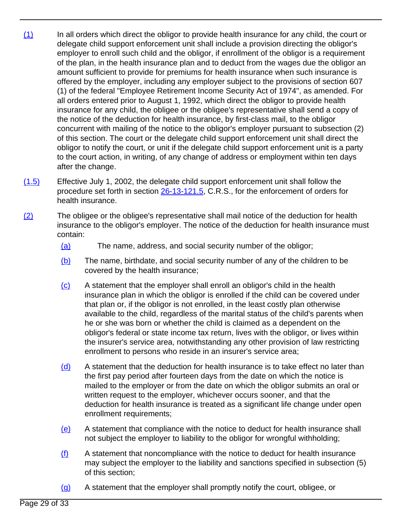- (1) In all orders which direct the obligor to provide health insurance for any child, the court or delegate child support enforcement unit shall include a provision directing the obligor's employer to enroll such child and the obligor, if enrollment of the obligor is a requirement of the plan, in the health insurance plan and to deduct from the wages due the obligor an amount sufficient to provide for premiums for health insurance when such insurance is offered by the employer, including any employer subject to the provisions of section 607 (1) of the federal "Employee Retirement Income Security Act of 1974", as amended. For all orders entered prior to August 1, 1992, which direct the obligor to provide health insurance for any child, the obligee or the obligee's representative shall send a copy of the notice of the deduction for health insurance, by first-class mail, to the obligor concurrent with mailing of the notice to the obligor's employer pursuant to subsection (2) of this section. The court or the delegate child support enforcement unit shall direct the obligor to notify the court, or unit if the delegate child support enforcement unit is a party to the court action, in writing, of any change of address or employment within ten days after the change.
- (1.5) Effective July 1, 2002, the delegate child support enforcement unit shall follow the procedure set forth in section [26-13-121.5,](/NLLXML/getcode.asp?statecd=COampamp;codesec=26-13-121.5ampamp;sessionyr=2021ampamp;Title=26ampamp;datatype=Sampamp;noheader=0ampamp;nojumpmsg=0) C.R.S., for the enforcement of orders for health insurance.
- (2) The obligee or the obligee's representative shall mail notice of the deduction for health insurance to the obligor's employer. The notice of the deduction for health insurance must contain:
	- (a) The name, address, and social security number of the obligor;
	- (b) The name, birthdate, and social security number of any of the children to be covered by the health insurance;
	- (c) A statement that the employer shall enroll an obligor's child in the health insurance plan in which the obligor is enrolled if the child can be covered under that plan or, if the obligor is not enrolled, in the least costly plan otherwise available to the child, regardless of the marital status of the child's parents when he or she was born or whether the child is claimed as a dependent on the obligor's federal or state income tax return, lives with the obligor, or lives within the insurer's service area, notwithstanding any other provision of law restricting enrollment to persons who reside in an insurer's service area;
	- (d) A statement that the deduction for health insurance is to take effect no later than the first pay period after fourteen days from the date on which the notice is mailed to the employer or from the date on which the obligor submits an oral or written request to the employer, whichever occurs sooner, and that the deduction for health insurance is treated as a significant life change under open enrollment requirements;
	- (e) A statement that compliance with the notice to deduct for health insurance shall not subject the employer to liability to the obligor for wrongful withholding;
	- $(f)$  A statement that noncompliance with the notice to deduct for health insurance may subject the employer to the liability and sanctions specified in subsection (5) of this section;
	- (g) A statement that the employer shall promptly notify the court, obligee, or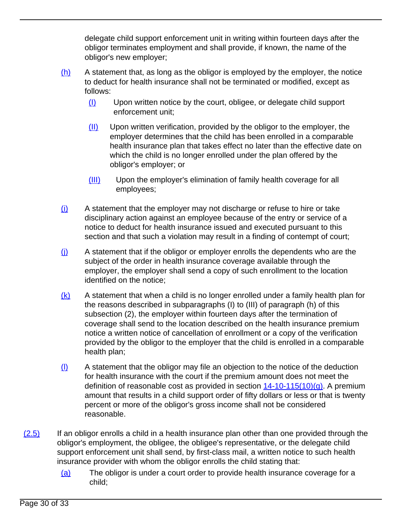delegate child support enforcement unit in writing within fourteen days after the obligor terminates employment and shall provide, if known, the name of the obligor's new employer;

- (h) A statement that, as long as the obligor is employed by the employer, the notice to deduct for health insurance shall not be terminated or modified, except as follows:
	- (I) Upon written notice by the court, obligee, or delegate child support enforcement unit;
	- (II) Upon written verification, provided by the obligor to the employer, the employer determines that the child has been enrolled in a comparable health insurance plan that takes effect no later than the effective date on which the child is no longer enrolled under the plan offered by the obligor's employer; or
	- (III) Upon the employer's elimination of family health coverage for all employees;
- (i) A statement that the employer may not discharge or refuse to hire or take disciplinary action against an employee because of the entry or service of a notice to deduct for health insurance issued and executed pursuant to this section and that such a violation may result in a finding of contempt of court;
- $(i)$  A statement that if the obligor or employer enrolls the dependents who are the subject of the order in health insurance coverage available through the employer, the employer shall send a copy of such enrollment to the location identified on the notice;
- $(k)$  A statement that when a child is no longer enrolled under a family health plan for the reasons described in subparagraphs (I) to (III) of paragraph (h) of this subsection (2), the employer within fourteen days after the termination of coverage shall send to the location described on the health insurance premium notice a written notice of cancellation of enrollment or a copy of the verification provided by the obligor to the employer that the child is enrolled in a comparable health plan;
- (l) A statement that the obligor may file an objection to the notice of the deduction for health insurance with the court if the premium amount does not meet the definition of reasonable cost as provided in section  $14-10-115(10)(q)$ . A premium amount that results in a child support order of fifty dollars or less or that is twenty percent or more of the obligor's gross income shall not be considered reasonable.
- $(2.5)$  If an obligor enrolls a child in a health insurance plan other than one provided through the obligor's employment, the obligee, the obligee's representative, or the delegate child support enforcement unit shall send, by first-class mail, a written notice to such health insurance provider with whom the obligor enrolls the child stating that:
	- (a) The obligor is under a court order to provide health insurance coverage for a child;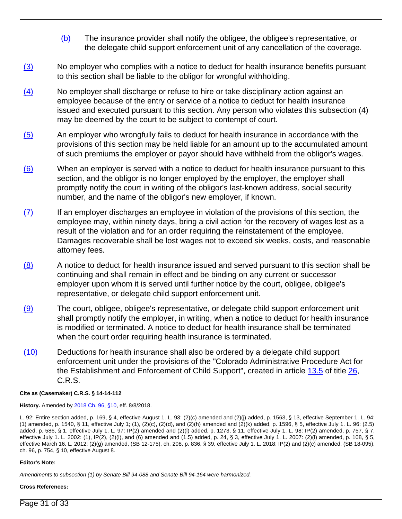- (b) The insurance provider shall notify the obligee, the obligee's representative, or the delegate child support enforcement unit of any cancellation of the coverage.
- (3) No employer who complies with a notice to deduct for health insurance benefits pursuant to this section shall be liable to the obligor for wrongful withholding.
- (4) No employer shall discharge or refuse to hire or take disciplinary action against an employee because of the entry or service of a notice to deduct for health insurance issued and executed pursuant to this section. Any person who violates this subsection (4) may be deemed by the court to be subject to contempt of court.
- (5) An employer who wrongfully fails to deduct for health insurance in accordance with the provisions of this section may be held liable for an amount up to the accumulated amount of such premiums the employer or payor should have withheld from the obligor's wages.
- (6) When an employer is served with a notice to deduct for health insurance pursuant to this section, and the obligor is no longer employed by the employer, the employer shall promptly notify the court in writing of the obligor's last-known address, social security number, and the name of the obligor's new employer, if known.
- (7) If an employer discharges an employee in violation of the provisions of this section, the employee may, within ninety days, bring a civil action for the recovery of wages lost as a result of the violation and for an order requiring the reinstatement of the employee. Damages recoverable shall be lost wages not to exceed six weeks, costs, and reasonable attorney fees.
- (8) A notice to deduct for health insurance issued and served pursuant to this section shall be continuing and shall remain in effect and be binding on any current or successor employer upon whom it is served until further notice by the court, obligee, obligee's representative, or delegate child support enforcement unit.
- (9) The court, obligee, obligee's representative, or delegate child support enforcement unit shall promptly notify the employer, in writing, when a notice to deduct for health insurance is modified or terminated. A notice to deduct for health insurance shall be terminated when the court order requiring health insurance is terminated.
- (10) Deductions for health insurance shall also be ordered by a delegate child support enforcement unit under the provisions of the "Colorado Administrative Procedure Act for the Establishment and Enforcement of Child Support", created in article [13.5](/NLLXML/getcode.asp?statecd=COampamp;codesec=article13.5ampamp;sessionyr=2021ampamp;Title=26ampamp;datatype=Sampamp;noheader=0ampamp;nojumpmsg=0) of title [26](/NLLXML/getcode.asp?statecd=COampamp;codesec=title26ampamp;sessionyr=2021ampamp;Title=26ampamp;datatype=Sampamp;noheader=0ampamp;nojumpmsg=0), C.R.S.

**Cite as (Casemaker) C.R.S. § 14-14-112**

**History.** Amended by [2018 Ch. 96,](/nllxml/getact.asp?statecd=COampamp;sessionyr=2018ampamp;actid=SB%2095ampamp;userid=REPLACE_LOGINIDampamp;noheader=0ampamp;nojumpmsg=0) [§10,](/nllxml/getact.asp?statecd=COampamp;sessionyr=2018ampamp;actid=SB%2095ampamp;userid=REPLACE_LOGINIDampamp;noheader=0ampamp;nojumpmsg=0#ActSec10) eff. 8/8/2018.

L. 92: Entire section added, p. 169, § 4, effective August 1. L. 93: (2)(c) amended and (2)(j) added, p. 1563, § 13, effective September 1. L. 94: (1) amended, p. 1540, § 11, effective July 1; (1), (2)(c), (2)(d), and (2)(h) amended and (2)(k) added, p. 1596, § 5, effective July 1. L. 96: (2.5) added, p. 586, § 1, effective July 1. L. 97: IP(2) amended and (2)(l) added, p. 1273, § 11, effective July 1. L. 98: IP(2) amended, p. 757, § 7, effective July 1. L. 2002: (1), IP(2), (2)(l), and (6) amended and (1.5) added, p. 24, § 3, effective July 1. L. 2007: (2)(l) amended, p. 108, § 5, effective March 16. L. 2012: (2)(g) amended, (SB 12-175), ch. 208, p. 836, § 39, effective July 1. L. 2018: IP(2) and (2)(c) amended, (SB 18-095), ch. 96, p. 754, § 10, effective August 8.

#### **Editor's Note:**

Amendments to subsection (1) by Senate Bill 94-088 and Senate Bill 94-164 were harmonized.

#### **Cross References:**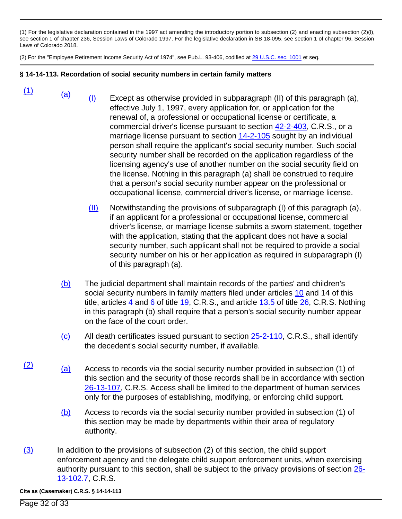(1) For the legislative declaration contained in the 1997 act amending the introductory portion to subsection (2) and enacting subsection (2)(l), see section 1 of chapter 236, Session Laws of Colorado 1997. For the legislative declaration in SB 18-095, see section 1 of chapter 96, Session Laws of Colorado 2018.

(2) For the "Employee Retirement Income Security Act of 1974", see Pub.L. 93-406, codified at [29 U.S.C. sec. 1001](/NLLXML/getcode.asp?statecd=COampamp;codesec=title26ampamp;sessionyr=2021ampamp;Title=26ampamp;datatype=Sampamp;noheader=0ampamp;nojumpmsg=0) et seq.

## **§ 14-14-113. Recordation of social security numbers in certain family matters**

- $\frac{(1)}{(a)}$  (a) (I) Except as otherwise provided in subparagraph (II) of this paragraph (a), effective July 1, 1997, every application for, or application for the renewal of, a professional or occupational license or certificate, a commercial driver's license pursuant to section [42-2-403](/NLLXML/getcode.asp?statecd=COampamp;codesec=42-2-403ampamp;sessionyr=2021ampamp;Title=42ampamp;datatype=Sampamp;noheader=0ampamp;nojumpmsg=0), C.R.S., or a marriage license pursuant to section [14-2-105](/NLLXML/getcode.asp?statecd=COampamp;codesec=14-2-105ampamp;sessionyr=2021ampamp;Title=14ampamp;datatype=Sampamp;noheader=0ampamp;nojumpmsg=0) sought by an individual person shall require the applicant's social security number. Such social security number shall be recorded on the application regardless of the licensing agency's use of another number on the social security field on the license. Nothing in this paragraph (a) shall be construed to require that a person's social security number appear on the professional or occupational license, commercial driver's license, or marriage license.
	- $(11)$  Notwithstanding the provisions of subparagraph (I) of this paragraph (a), if an applicant for a professional or occupational license, commercial driver's license, or marriage license submits a sworn statement, together with the application, stating that the applicant does not have a social security number, such applicant shall not be required to provide a social security number on his or her application as required in subparagraph (I) of this paragraph (a).
	- (b) The judicial department shall maintain records of the parties' and children's social security numbers in family matters filed under articles [10](/NLLXML/getcode.asp?statecd=COampamp;codesec=article10ampamp;sessionyr=2021ampamp;Title=14ampamp;datatype=Sampamp;noheader=0ampamp;nojumpmsg=0) and 14 of this title, articles [4](/NLLXML/getcode.asp?statecd=COampamp;codesec=article4ampamp;sessionyr=2021ampamp;Title=19ampamp;datatype=Sampamp;noheader=0ampamp;nojumpmsg=0) and [6](/NLLXML/getcode.asp?statecd=COampamp;codesec=article6ampamp;sessionyr=2021ampamp;Title=19ampamp;datatype=Sampamp;noheader=0ampamp;nojumpmsg=0) of title [19,](/NLLXML/getcode.asp?statecd=COampamp;codesec=title19ampamp;sessionyr=2021ampamp;Title=19ampamp;datatype=Sampamp;noheader=0ampamp;nojumpmsg=0) C.R.S., and article  $13.5$  of title  $26$ , C.R.S. Nothing in this paragraph (b) shall require that a person's social security number appear on the face of the court order.
	- $\langle c \rangle$  All death certificates issued pursuant to section [25-2-110,](/NLLXML/getcode.asp?statecd=COampamp;codesec=25-2-110ampamp;sessionyr=2021ampamp;Title=25ampamp;datatype=Sampamp;noheader=0ampamp;nojumpmsg=0) C.R.S., shall identify the decedent's social security number, if available.
- $\frac{(2)}{(a)}$  (a) Access to records via the social security number provided in subsection (1) of this section and the security of those records shall be in accordance with section [26-13-107,](/NLLXML/getcode.asp?statecd=COampamp;codesec=26-13-107ampamp;sessionyr=2021ampamp;Title=26ampamp;datatype=Sampamp;noheader=0ampamp;nojumpmsg=0) C.R.S. Access shall be limited to the department of human services only for the purposes of establishing, modifying, or enforcing child support.
	- (b) Access to records via the social security number provided in subsection (1) of this section may be made by departments within their area of regulatory authority.
- (3) In addition to the provisions of subsection (2) of this section, the child support enforcement agency and the delegate child support enforcement units, when exercising authority pursuant to this section, shall be subject to the privacy provisions of section [26-](/NLLXML/getcode.asp?statecd=COampamp;codesec=26-13-102.7ampamp;sessionyr=2021ampamp;Title=26ampamp;datatype=Sampamp;noheader=0ampamp;nojumpmsg=0) [13-102.7](/NLLXML/getcode.asp?statecd=COampamp;codesec=26-13-102.7ampamp;sessionyr=2021ampamp;Title=26ampamp;datatype=Sampamp;noheader=0ampamp;nojumpmsg=0), C.R.S.

**Cite as (Casemaker) C.R.S. § 14-14-113**